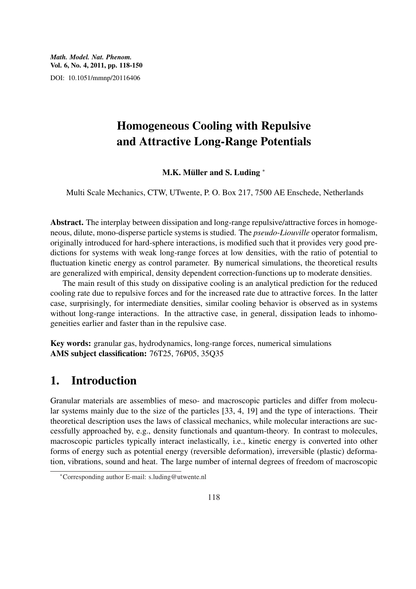*Math. Model. Nat. Phenom.* Vol. 6, No. 4, 2011, pp. 118-150 DOI: 10.1051/mmnp/20116406

# Homogeneous Cooling with Repulsive and Attractive Long-Range Potentials

M.K. Müller and S. Luding \*

Multi Scale Mechanics, CTW, UTwente, P. O. Box 217, 7500 AE Enschede, Netherlands

Abstract. The interplay between dissipation and long-range repulsive/attractive forces in homogeneous, dilute, mono-disperse particle systems is studied. The *pseudo*-*Liouville* operator formalism, originally introduced for hard-sphere interactions, is modified such that it provides very good predictions for systems with weak long-range forces at low densities, with the ratio of potential to fluctuation kinetic energy as control parameter. By numerical simulations, the theoretical results are generalized with empirical, density dependent correction-functions up to moderate densities.

The main result of this study on dissipative cooling is an analytical prediction for the reduced cooling rate due to repulsive forces and for the increased rate due to attractive forces. In the latter case, surprisingly, for intermediate densities, similar cooling behavior is observed as in systems without long-range interactions. In the attractive case, in general, dissipation leads to inhomogeneities earlier and faster than in the repulsive case.

Key words: granular gas, hydrodynamics, long-range forces, numerical simulations AMS subject classification: 76T25, 76P05, 35Q35

## 1. Introduction

Granular materials are assemblies of meso- and macroscopic particles and differ from molecular systems mainly due to the size of the particles [33, 4, 19] and the type of interactions. Their theoretical description uses the laws of classical mechanics, while molecular interactions are successfully approached by, e.g., density functionals and quantum-theory. In contrast to molecules, macroscopic particles typically interact inelastically, i.e., kinetic energy is converted into other forms of energy such as potential energy (reversible deformation), irreversible (plastic) deformation, vibrations, sound and heat. The large number of internal degrees of freedom of macroscopic

<sup>∗</sup>Corresponding author E-mail: s.luding@utwente.nl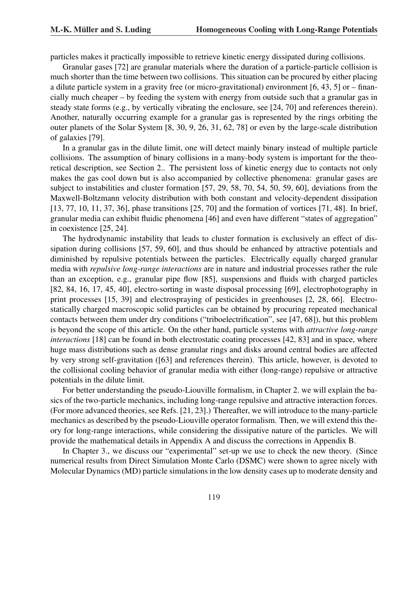particles makes it practically impossible to retrieve kinetic energy dissipated during collisions.

Granular gases [72] are granular materials where the duration of a particle-particle collision is much shorter than the time between two collisions. This situation can be procured by either placing a dilute particle system in a gravity free (or micro-gravitational) environment [6, 43, 5] or – financially much cheaper – by feeding the system with energy from outside such that a granular gas in steady state forms (e.g., by vertically vibrating the enclosure, see [24, 70] and references therein). Another, naturally occurring example for a granular gas is represented by the rings orbiting the outer planets of the Solar System [8, 30, 9, 26, 31, 62, 78] or even by the large-scale distribution of galaxies [79].

In a granular gas in the dilute limit, one will detect mainly binary instead of multiple particle collisions. The assumption of binary collisions in a many-body system is important for the theoretical description, see Section 2.. The persistent loss of kinetic energy due to contacts not only makes the gas cool down but is also accompanied by collective phenomena: granular gases are subject to instabilities and cluster formation [57, 29, 58, 70, 54, 50, 59, 60], deviations from the Maxwell-Boltzmann velocity distribution with both constant and velocity-dependent dissipation [13, 77, 10, 11, 37, 36], phase transitions [25, 70] and the formation of vortices [71, 48]. In brief, granular media can exhibit fluidic phenomena [46] and even have different "states of aggregation" in coexistence [25, 24].

The hydrodynamic instability that leads to cluster formation is exclusively an effect of dissipation during collisions [57, 59, 60], and thus should be enhanced by attractive potentials and diminished by repulsive potentials between the particles. Electrically equally charged granular media with *repulsive long-range interactions* are in nature and industrial processes rather the rule than an exception, e.g., granular pipe flow [85], suspensions and fluids with charged particles [82, 84, 16, 17, 45, 40], electro-sorting in waste disposal processing [69], electrophotography in print processes [15, 39] and electrospraying of pesticides in greenhouses [2, 28, 66]. Electrostatically charged macroscopic solid particles can be obtained by procuring repeated mechanical contacts between them under dry conditions ("triboelectrification", see [47, 68]), but this problem is beyond the scope of this article. On the other hand, particle systems with *attractive long-range interactions* [18] can be found in both electrostatic coating processes [42, 83] and in space, where huge mass distributions such as dense granular rings and disks around central bodies are affected by very strong self-gravitation ([63] and references therein). This article, however, is devoted to the collisional cooling behavior of granular media with either (long-range) repulsive or attractive potentials in the dilute limit.

For better understanding the pseudo-Liouville formalism, in Chapter 2. we will explain the basics of the two-particle mechanics, including long-range repulsive and attractive interaction forces. (For more advanced theories, see Refs. [21, 23].) Thereafter, we will introduce to the many-particle mechanics as described by the pseudo-Liouville operator formalism. Then, we will extend this theory for long-range interactions, while considering the dissipative nature of the particles. We will provide the mathematical details in Appendix A and discuss the corrections in Appendix B.

In Chapter 3., we discuss our "experimental" set-up we use to check the new theory. (Since numerical results from Direct Simulation Monte Carlo (DSMC) were shown to agree nicely with Molecular Dynamics (MD) particle simulations in the low density cases up to moderate density and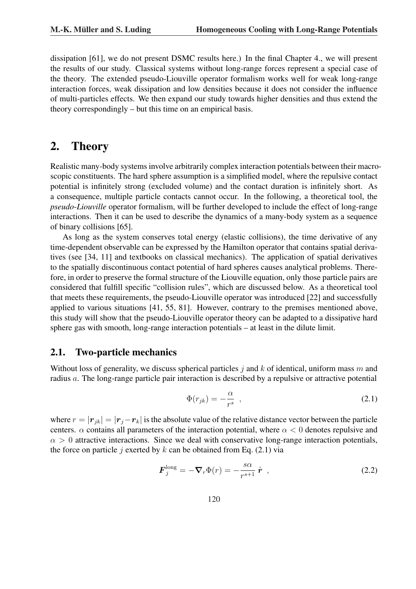dissipation [61], we do not present DSMC results here.) In the final Chapter 4., we will present the results of our study. Classical systems without long-range forces represent a special case of the theory. The extended pseudo-Liouville operator formalism works well for weak long-range interaction forces, weak dissipation and low densities because it does not consider the influence of multi-particles effects. We then expand our study towards higher densities and thus extend the theory correspondingly – but this time on an empirical basis.

# 2. Theory

Realistic many-body systems involve arbitrarily complex interaction potentials between their macroscopic constituents. The hard sphere assumption is a simplified model, where the repulsive contact potential is infinitely strong (excluded volume) and the contact duration is infinitely short. As a consequence, multiple particle contacts cannot occur. In the following, a theoretical tool, the *pseudo*-*Liouville* operator formalism, will be further developed to include the effect of long-range interactions. Then it can be used to describe the dynamics of a many-body system as a sequence of binary collisions [65].

As long as the system conserves total energy (elastic collisions), the time derivative of any time-dependent observable can be expressed by the Hamilton operator that contains spatial derivatives (see [34, 11] and textbooks on classical mechanics). The application of spatial derivatives to the spatially discontinuous contact potential of hard spheres causes analytical problems. Therefore, in order to preserve the formal structure of the Liouville equation, only those particle pairs are considered that fulfill specific "collision rules", which are discussed below. As a theoretical tool that meets these requirements, the pseudo-Liouville operator was introduced [22] and successfully applied to various situations [41, 55, 81]. However, contrary to the premises mentioned above, this study will show that the pseudo-Liouville operator theory can be adapted to a dissipative hard sphere gas with smooth, long-range interaction potentials – at least in the dilute limit.

### 2.1. Two-particle mechanics

Without loss of generality, we discuss spherical particles j and k of identical, uniform mass m and radius a. The long-range particle pair interaction is described by a repulsive or attractive potential

$$
\Phi(r_{jk}) = -\frac{\alpha}{r^s} \quad , \tag{2.1}
$$

where  $r = |\mathbf{r}_{ik}| = |\mathbf{r}_i - \mathbf{r}_k|$  is the absolute value of the relative distance vector between the particle centers.  $\alpha$  contains all parameters of the interaction potential, where  $\alpha < 0$  denotes repulsive and  $\alpha > 0$  attractive interactions. Since we deal with conservative long-range interaction potentials, the force on particle j exerted by k can be obtained from Eq.  $(2.1)$  via

$$
\boldsymbol{F}_j^{\text{long}} = -\boldsymbol{\nabla}_r \Phi(r) = -\frac{s\alpha}{r^{s+1}} \hat{\boldsymbol{r}} \tag{2.2}
$$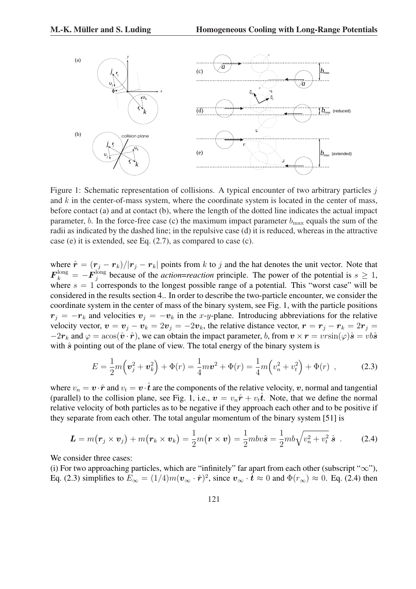

Figure 1: Schematic representation of collisions. A typical encounter of two arbitrary particles j and  $k$  in the center-of-mass system, where the coordinate system is located in the center of mass, before contact (a) and at contact (b), where the length of the dotted line indicates the actual impact parameter, b. In the force-free case (c) the maximum impact parameter  $b_{\text{max}}$  equals the sum of the radii as indicated by the dashed line; in the repulsive case (d) it is reduced, whereas in the attractive case (e) it is extended, see Eq. (2.7), as compared to case (c).

where  $\hat{\mathbf{r}} = (\mathbf{r}_j - \mathbf{r}_k)/|\mathbf{r}_j - \mathbf{r}_k|$  points from k to j and the hat denotes the unit vector. Note that  $\bm{F}_k^\mathrm{long} = -\bm{F}_j^\mathrm{long}$  $j_j^{\text{long}}$  because of the *action=reaction* principle. The power of the potential is  $s \geq 1$ , where  $s = 1$  corresponds to the longest possible range of a potential. This "worst case" will be considered in the results section 4.. In order to describe the two-particle encounter, we consider the coordinate system in the center of mass of the binary system, see Fig. 1, with the particle positions  $r_j = -r_k$  and velocities  $v_j = -v_k$  in the x-y-plane. Introducing abbreviations for the relative velocity vector,  $v = v_j - v_k = 2v_j = -2v_k$ , the relative distance vector,  $r = r_j - r_k = 2r_j =$  $-2r_k$  and  $\varphi = \arcsin(\hat{\bm{v}} \cdot \hat{\bm{r}})$ , we can obtain the impact parameter, b, from  $\bm{v} \times \bm{r} = v r \sin(\varphi) \hat{\bm{s}} = v b \hat{\bm{s}}$ with  $\hat{s}$  pointing out of the plane of view. The total energy of the binary system is

$$
E = \frac{1}{2}m(v_j^2 + v_k^2) + \Phi(r) = \frac{1}{4}m\mathbf{v}^2 + \Phi(r) = \frac{1}{4}m(v_n^2 + v_t^2) + \Phi(r) ,
$$
 (2.3)

where  $v_n = \mathbf{v} \cdot \hat{\mathbf{r}}$  and  $v_t = \mathbf{v} \cdot \hat{\mathbf{t}}$  are the components of the relative velocity, v, normal and tangential (parallel) to the collision plane, see Fig. 1, i.e.,  $v = v_n \hat{r} + v_t \hat{t}$ . Note, that we define the normal relative velocity of both particles as to be negative if they approach each other and to be positive if they separate from each other. The total angular momentum of the binary system [51] is

$$
\boldsymbol{L} = m(\boldsymbol{r}_j \times \boldsymbol{v}_j) + m(\boldsymbol{r}_k \times \boldsymbol{v}_k) = \frac{1}{2}m(\boldsymbol{r} \times \boldsymbol{v}) = \frac{1}{2}m b v \hat{\boldsymbol{s}} = \frac{1}{2}m b \sqrt{v_n^2 + v_t^2} \hat{\boldsymbol{s}}.
$$
 (2.4)

We consider three cases:

(i) For two approaching particles, which are "infinitely" far apart from each other (subscript " $\infty$ "), Eq. (2.3) simplifies to  $E_{\infty} = (1/4)m(\mathbf{v}_{\infty} \cdot \hat{\mathbf{r}})^2$ , since  $\mathbf{v}_{\infty} \cdot \hat{\mathbf{t}} \approx 0$  and  $\Phi(r_{\infty}) \approx 0$ . Eq. (2.4) then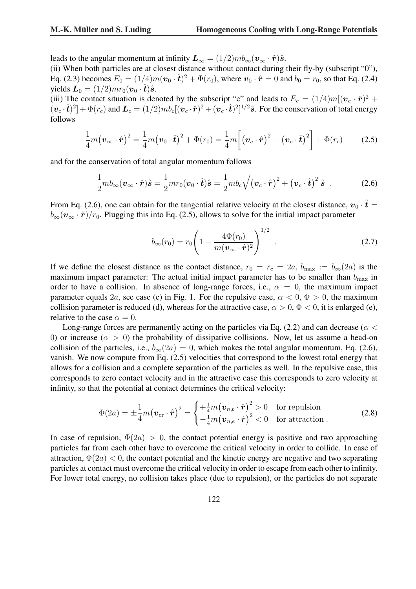leads to the angular momentum at infinity  $\mathbf{L}_{\infty} = (1/2)mb_{\infty}(\mathbf{v}_{\infty} \cdot \hat{\mathbf{r}})\hat{\mathbf{s}}$ .

(ii) When both particles are at closest distance without contact during their fly-by (subscript "0"), Eq. (2.3) becomes  $E_0 = (1/4)m(\mathbf{v}_0 \cdot \hat{\mathbf{t}})^2 + \Phi(r_0)$ , where  $\mathbf{v}_0 \cdot \hat{\mathbf{r}} = 0$  and  $b_0 = r_0$ , so that Eq. (2.4) yields  $\mathbf{L}_0 = (1/2)mr_0(\mathbf{v}_0 \cdot \hat{\mathbf{t}})\hat{\mathbf{s}}$ .

(iii) The contact situation is denoted by the subscript "c" and leads to  $E_c = (1/4)m[(\mathbf{v}_c \cdot \hat{\mathbf{r}})^2 +$  $(\mathbf{v}_c \cdot \hat{\boldsymbol{t}})^2 + \Phi(r_c)$  and  $\mathbf{L}_c = (1/2)mb_c[(\mathbf{v}_c \cdot \hat{\boldsymbol{r}})^2 + (\mathbf{v}_c \cdot \hat{\boldsymbol{t}})^2]^{1/2}\hat{\boldsymbol{s}}$ . For the conservation of total energy follows

$$
\frac{1}{4}m(\boldsymbol{v}_{\infty}\cdot\hat{\boldsymbol{r}})^2 = \frac{1}{4}m(\boldsymbol{v}_0\cdot\hat{\boldsymbol{t}})^2 + \Phi(r_0) = \frac{1}{4}m\bigg[\big(\boldsymbol{v}_c\cdot\hat{\boldsymbol{r}}\big)^2 + \big(\boldsymbol{v}_c\cdot\hat{\boldsymbol{t}}\big)^2\bigg] + \Phi(r_c) \qquad (2.5)
$$

and for the conservation of total angular momentum follows

$$
\frac{1}{2}mb_{\infty}(\boldsymbol{v}_{\infty}\cdot\hat{\boldsymbol{r}})\hat{\boldsymbol{s}} = \frac{1}{2}mr_0(\boldsymbol{v}_0\cdot\hat{\boldsymbol{t}})\hat{\boldsymbol{s}} = \frac{1}{2}mb_c\sqrt{(\boldsymbol{v}_c\cdot\hat{\boldsymbol{r}})^2 + (\boldsymbol{v}_c\cdot\hat{\boldsymbol{t}})^2}\hat{\boldsymbol{s}}.
$$
 (2.6)

From Eq. (2.6), one can obtain for the tangential relative velocity at the closest distance,  $v_0 \cdot \hat{t} =$  $b_{\infty}(\mathbf{v}_{\infty} \cdot \hat{\mathbf{r}})/r_0$ . Plugging this into Eq. (2.5), allows to solve for the initial impact parameter

$$
b_{\infty}(r_0) = r_0 \left( 1 - \frac{4\Phi(r_0)}{m(\mathbf{v}_{\infty} \cdot \hat{\mathbf{r}})^2} \right)^{1/2} .
$$
 (2.7)

If we define the closest distance as the contact distance,  $r_0 = r_c = 2a$ ,  $b_{\text{max}} := b_{\infty}(2a)$  is the maximum impact parameter: The actual initial impact parameter has to be smaller than  $b_{\text{max}}$  in order to have a collision. In absence of long-range forces, i.e.,  $\alpha = 0$ , the maximum impact parameter equals 2a, see case (c) in Fig. 1. For the repulsive case,  $\alpha < 0$ ,  $\Phi > 0$ , the maximum collision parameter is reduced (d), whereas for the attractive case,  $\alpha > 0$ ,  $\Phi < 0$ , it is enlarged (e), relative to the case  $\alpha = 0$ .

Long-range forces are permanently acting on the particles via Eq. (2.2) and can decrease ( $\alpha$  < 0) or increase ( $\alpha > 0$ ) the probability of dissipative collisions. Now, let us assume a head-on collision of the particles, i.e.,  $b_{\infty}(2a) = 0$ , which makes the total angular momentum, Eq. (2.6), vanish. We now compute from Eq. (2.5) velocities that correspond to the lowest total energy that allows for a collision and a complete separation of the particles as well. In the repulsive case, this corresponds to zero contact velocity and in the attractive case this corresponds to zero velocity at infinity, so that the potential at contact determines the critical velocity:

$$
\Phi(2a) = \pm \frac{1}{4} m \big(\boldsymbol{v}_{\rm cr} \cdot \hat{\boldsymbol{r}}\big)^2 = \begin{cases} +\frac{1}{4} m \big(\boldsymbol{v}_{n,b} \cdot \hat{\boldsymbol{r}}\big)^2 > 0 & \text{for repulsion} \\ -\frac{1}{4} m \big(\boldsymbol{v}_{n,e} \cdot \hat{\boldsymbol{r}}\big)^2 < 0 & \text{for attraction} \, . \end{cases}
$$
\n(2.8)

In case of repulsion,  $\Phi(2a) > 0$ , the contact potential energy is positive and two approaching particles far from each other have to overcome the critical velocity in order to collide. In case of attraction,  $\Phi(2a) < 0$ , the contact potential and the kinetic energy are negative and two separating particles at contact must overcome the critical velocity in order to escape from each other to infinity. For lower total energy, no collision takes place (due to repulsion), or the particles do not separate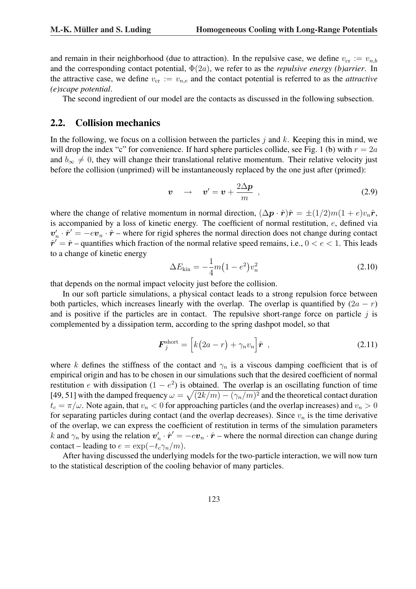and remain in their neighborhood (due to attraction). In the repulsive case, we define  $v_{cr} := v_{n,b}$ and the corresponding contact potential, Φ(2a), we refer to as the *repulsive energy (b)arrier*. In the attractive case, we define  $v_{\rm cr} := v_{n,e}$  and the contact potential is referred to as the *attractive (e)scape potential*.

The second ingredient of our model are the contacts as discussed in the following subsection.

### 2.2. Collision mechanics

In the following, we focus on a collision between the particles  $j$  and  $k$ . Keeping this in mind, we will drop the index "c" for convenience. If hard sphere particles collide, see Fig. 1 (b) with  $r = 2a$ and  $b_{\infty} \neq 0$ , they will change their translational relative momentum. Their relative velocity just before the collision (unprimed) will be instantaneously replaced by the one just after (primed):

$$
v \rightarrow v' = v + \frac{2\Delta p}{m} \tag{2.9}
$$

where the change of relative momentum in normal direction,  $(\Delta \mathbf{p} \cdot \hat{\mathbf{r}})\hat{\mathbf{r}} = \pm (1/2)m(1+e)v_n\hat{\mathbf{r}}$ , is accompanied by a loss of kinetic energy. The coefficient of normal restitution, e, defined via  $v'_n \cdot \hat{r}' = -ev_n \cdot \hat{r}$  – where for rigid spheres the normal direction does not change during contact  $\hat{\mathbf{r}}' = \hat{\mathbf{r}}$  – quantifies which fraction of the normal relative speed remains, i.e.,  $0 < e < 1$ . This leads to a change of kinetic energy

$$
\Delta E_{\rm kin} = -\frac{1}{4}m(1 - e^2)v_n^2
$$
\n(2.10)

that depends on the normal impact velocity just before the collision.

In our soft particle simulations, a physical contact leads to a strong repulsion force between both particles, which increases linearly with the overlap. The overlap is quantified by  $(2a - r)$ and is positive if the particles are in contact. The repulsive short-range force on particle  $j$  is complemented by a dissipation term, according to the spring dashpot model, so that

$$
\boldsymbol{F}_j^{\text{short}} = \left[ k(2a - r) + \gamma_n v_n \right] \hat{\boldsymbol{r}} \tag{2.11}
$$

where k defines the stiffness of the contact and  $\gamma_n$  is a viscous damping coefficient that is of empirical origin and has to be chosen in our simulations such that the desired coefficient of normal restitution e with dissipation  $(1 - e^2)$  is obtained. The overlap is an oscillating function of time [49, 51] with the damped frequency  $\omega = \sqrt{(2k/m) - (\gamma_n/m)^2}$  and the theoretical contact duration  $t_c = \pi/\omega$ . Note again, that  $v_n < 0$  for approaching particles (and the overlap increases) and  $v_n > 0$ for separating particles during contact (and the overlap decreases). Since  $v_n$  is the time derivative of the overlap, we can express the coefficient of restitution in terms of the simulation parameters k and  $\gamma_n$  by using the relation  $v'_n \cdot \hat{r}' = -ev_n \cdot \hat{r}$  – where the normal direction can change during contact – leading to  $e = \exp(-t_c \gamma_n/m)$ .

After having discussed the underlying models for the two-particle interaction, we will now turn to the statistical description of the cooling behavior of many particles.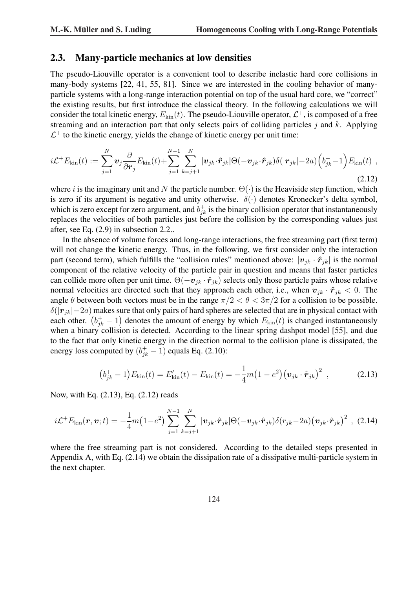### 2.3. Many-particle mechanics at low densities

The pseudo-Liouville operator is a convenient tool to describe inelastic hard core collisions in many-body systems [22, 41, 55, 81]. Since we are interested in the cooling behavior of manyparticle systems with a long-range interaction potential on top of the usual hard core, we "correct" the existing results, but first introduce the classical theory. In the following calculations we will consider the total kinetic energy,  $E_{\text{kin}}(t)$ . The pseudo-Liouville operator,  $\mathcal{L}^+$ , is composed of a free streaming and an interaction part that only selects pairs of colliding particles  $\dot{\gamma}$  and  $k$ . Applying  $\mathcal{L}^+$  to the kinetic energy, yields the change of kinetic energy per unit time:

$$
i\mathcal{L}^+ E_{\text{kin}}(t) := \sum_{j=1}^N \boldsymbol{v}_j \frac{\partial}{\partial \boldsymbol{r}_j} E_{\text{kin}}(t) + \sum_{j=1}^{N-1} \sum_{k=j+1}^N |\boldsymbol{v}_{jk} \cdot \hat{\boldsymbol{r}}_{jk}| \Theta(-\boldsymbol{v}_{jk} \cdot \hat{\boldsymbol{r}}_{jk}) \delta(|\boldsymbol{r}_{jk}| - 2a) \left(b_{jk}^+ - 1\right) E_{\text{kin}}(t) ,
$$
\n(2.12)

where i is the imaginary unit and N the particle number.  $\Theta(\cdot)$  is the Heaviside step function, which is zero if its argument is negative and unity otherwise.  $\delta(\cdot)$  denotes Kronecker's delta symbol, which is zero except for zero argument, and  $b_{jk}^+$  is the binary collision operator that instantaneously replaces the velocities of both particles just before the collision by the corresponding values just after, see Eq. (2.9) in subsection 2.2..

In the absence of volume forces and long-range interactions, the free streaming part (first term) will not change the kinetic energy. Thus, in the following, we first consider only the interaction part (second term), which fulfills the "collision rules" mentioned above:  $|v_{jk} \cdot \hat{r}_{jk}|$  is the normal component of the relative velocity of the particle pair in question and means that faster particles can collide more often per unit time.  $\Theta(-v_{jk} \cdot \hat{r}_{jk})$  selects only those particle pairs whose relative normal velocities are directed such that they approach each other, i.e., when  $v_{jk} \cdot \hat{r}_{jk} < 0$ . The angle  $\theta$  between both vectors must be in the range  $\pi/2 < \theta < 3\pi/2$  for a collision to be possible.  $\delta(|r_{jk}|-2a)$  makes sure that only pairs of hard spheres are selected that are in physical contact with  $\partial(|\bm{r}_{jk}| - 2a)$  makes sure that only pairs of hard spheres are selected that are in physical contact with each other.  $(b_{jk}^+ - 1)$  denotes the amount of energy by which  $E_{kin}(t)$  is changed instantaneously when a binary collision is detected. According to the linear spring dashpot model [55], and due to the fact that only kinetic energy in the direction normal to the collision plane is dissipated, the energy loss computed by  $(b_{jk}^+ - 1)$  equals Eq. (2.10):

$$
(b_{jk}^{+} - 1)E_{\text{kin}}(t) = E'_{\text{kin}}(t) - E_{\text{kin}}(t) = -\frac{1}{4}m(1 - e^{2})(\boldsymbol{v}_{jk} \cdot \hat{\boldsymbol{r}}_{jk})^{2} , \qquad (2.13)
$$

Now, with Eq. (2.13), Eq. (2.12) reads

$$
i\mathcal{L}^+E_{\text{kin}}(\boldsymbol{r},\boldsymbol{v};t)=-\frac{1}{4}m\big(1-e^2\big)\sum_{j=1}^{N-1}\sum_{k=j+1}^N|\boldsymbol{v}_{jk}\cdot\hat{\boldsymbol{r}}_{jk}|\Theta(-\boldsymbol{v}_{jk}\cdot\hat{\boldsymbol{r}}_{jk})\delta(r_{jk}-2a)\big(\boldsymbol{v}_{jk}\cdot\hat{\boldsymbol{r}}_{jk}\big)^2\ ,\ (2.14)
$$

where the free streaming part is not considered. According to the detailed steps presented in Appendix A, with Eq. (2.14) we obtain the dissipation rate of a dissipative multi-particle system in the next chapter.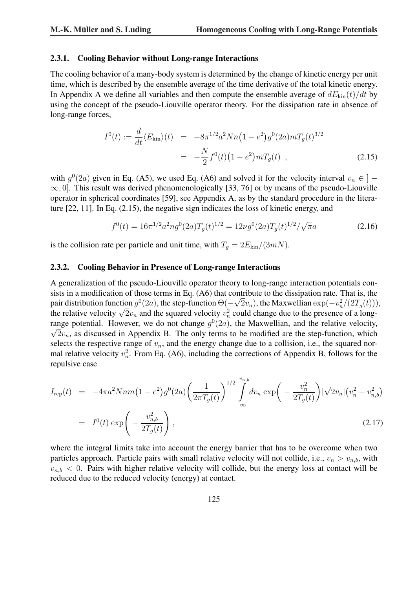#### 2.3.1. Cooling Behavior without Long-range Interactions

The cooling behavior of a many-body system is determined by the change of kinetic energy per unit time, which is described by the ensemble average of the time derivative of the total kinetic energy. In Appendix A we define all variables and then compute the ensemble average of  $dE_{kin}(t)/dt$  by using the concept of the pseudo-Liouville operator theory. For the dissipation rate in absence of long-range forces,

$$
I^{0}(t) := \frac{d}{dt} \langle E_{\text{kin}} \rangle(t) = -8\pi^{1/2} a^{2} N n (1 - e^{2}) g^{0}(2a) m T_{g}(t)^{3/2}
$$

$$
= -\frac{N}{2} f^{0}(t) (1 - e^{2}) m T_{g}(t) , \qquad (2.15)
$$

with  $g^0(2a)$  given in Eq. (A5), we used Eq. (A6) and solved it for the velocity interval  $v_n \in ]-1$  $\infty$ , 0]. This result was derived phenomenologically [33, 76] or by means of the pseudo-Liouville operator in spherical coordinates [59], see Appendix A, as by the standard procedure in the literature [22, 11]. In Eq. (2.15), the negative sign indicates the loss of kinetic energy, and

$$
f^{0}(t) = 16\pi^{1/2}a^{2}ng^{0}(2a)T_{g}(t)^{1/2} = 12\nu g^{0}(2a)T_{g}(t)^{1/2}/\sqrt{\pi}a
$$
\n(2.16)

 $\overline{\phantom{0}}$ 

is the collision rate per particle and unit time, with  $T_g = 2E_{\text{kin}}/(3mN)$ .

#### 2.3.2. Cooling Behavior in Presence of Long-range Interactions

A generalization of the pseudo-Liouville operator theory to long-range interaction potentials consists in a modification of those terms in Eq.  $(A6)$  that contribute to the dissipation rate. That is, the pair distribution function  $g^0(2a)$ , the step-function  $\Theta(-\sqrt{2}v_n)$ , the Maxwellian  $\exp(-v_n^2/(2T_g(t))),$ pair distribution function  $g^0(za)$ , the step-function  $\Theta(-\sqrt{2}v_n)$ , the Maxwellian  $\exp(-v_n^2/(2I_g(t)))$ <br>the relative velocity  $\sqrt{2}v_n$  and the squared velocity  $v_n^2$  could change due to the presence of a longrange potential. However, we do not change  $g^0(2a)$ , the Maxwellian, and the relative velocity,  $\sqrt{2}v_n$ , as discussed in Appendix B. The only terms to be modified are the step-function, which selects the respective range of  $v_n$ , and the energy change due to a collision, i.e., the squared normal relative velocity  $v_n^2$ . From Eq. (A6), including the corrections of Appendix B, follows for the repulsive case

$$
I_{\rm rep}(t) = -4\pi a^2 Nnm \left(1 - e^2\right) g^0(2a) \left(\frac{1}{2\pi T_g(t)}\right)^{1/2} \int_{-\infty}^{v_{n,b}} dv_n \exp\left(-\frac{v_n^2}{2T_g(t)}\right) |\sqrt{2}v_n| \left(v_n^2 - v_{n,b}^2\right)
$$
  
=  $I^0(t) \exp\left(-\frac{v_{n,b}^2}{2T_g(t)}\right),$  (2.17)

where the integral limits take into account the energy barrier that has to be overcome when two particles approach. Particle pairs with small relative velocity will not collide, i.e.,  $v_n > v_{n,b}$ , with  $v_{n,b}$  < 0. Pairs with higher relative velocity will collide, but the energy loss at contact will be reduced due to the reduced velocity (energy) at contact.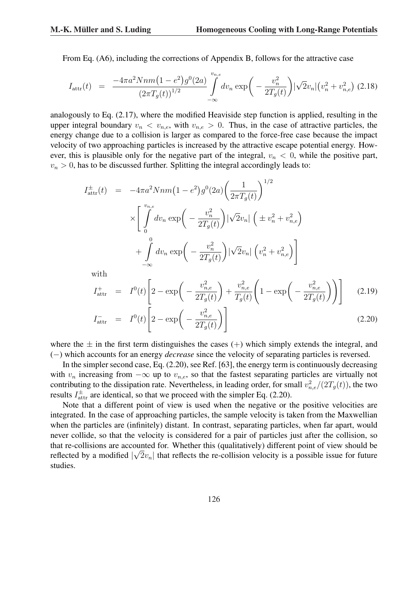From Eq. (A6), including the corrections of Appendix B, follows for the attractive case

$$
I_{\text{attr}}(t) = \frac{-4\pi a^2 Nnm \left(1 - e^2\right) g^0(2a)}{\left(2\pi T_g(t)\right)^{1/2}} \int_{-\infty}^{v_{n,e}} dv_n \exp\bigg(-\frac{v_n^2}{2T_g(t)}\bigg) |\sqrt{2}v_n| \left(v_n^2 + v_{n,e}^2\right) (2.18)
$$

analogously to Eq. (2.17), where the modified Heaviside step function is applied, resulting in the upper integral boundary  $v_n < v_{n,e}$ , with  $v_{n,e} > 0$ . Thus, in the case of attractive particles, the energy change due to a collision is larger as compared to the force-free case because the impact velocity of two approaching particles is increased by the attractive escape potential energy. However, this is plausible only for the negative part of the integral,  $v_n < 0$ , while the positive part,  $v_n > 0$ , has to be discussed further. Splitting the integral accordingly leads to:

$$
I_{\text{attr}}^{\pm}(t) = -4\pi a^2 Nnm \left(1 - e^2\right) g^0(2a) \left(\frac{1}{2\pi T_g(t)}\right)^{1/2} \times \left[ \int_0^{v_{n,e}} dv_n \exp\left(-\frac{v_n^2}{2T_g(t)}\right) |\sqrt{2}v_n| \left(\pm v_n^2 + v_{n,e}^2\right) \right] + \int_0^0 dv_n \exp\left(-\frac{v_n^2}{2T_g(t)}\right) |\sqrt{2}v_n| \left(v_n^2 + v_{n,e}^2\right) \right] \text{with}
$$

with

with  

$$
I_{\text{attr}}^{+} = I^{0}(t) \left[ 2 - \exp\left( -\frac{v_{n,e}^{2}}{2T_{g}(t)} \right) + \frac{v_{n,e}^{2}}{T_{g}(t)} \left( 1 - \exp\left( -\frac{v_{n,e}^{2}}{2T_{g}(t)} \right) \right) \right]
$$
(2.19)

$$
I_{\text{attr}}^{-} = I^{0}(t) \left[ 2 - \exp\left( -\frac{v_{n,e}^{2}}{2T_{g}(t)} \right) \right]
$$
 (2.20)

where the  $\pm$  in the first term distinguishes the cases (+) which simply extends the integral, and (−) which accounts for an energy *decrease* since the velocity of separating particles is reversed.

In the simpler second case, Eq. (2.20), see Ref. [63], the energy term is continuously decreasing with  $v_n$  increasing from  $-\infty$  up to  $v_{n,e}$ , so that the fastest separating particles are virtually not contributing to the dissipation rate. Nevertheless, in leading order, for small  $v_{n,e}^2/(2T_g(t))$ , the two results  $I_{\text{attr}}^{\pm}$  are identical, so that we proceed with the simpler Eq. (2.20).

Note that a different point of view is used when the negative or the positive velocities are integrated. In the case of approaching particles, the sample velocity is taken from the Maxwellian when the particles are (infinitely) distant. In contrast, separating particles, when far apart, would never collide, so that the velocity is considered for a pair of particles just after the collision, so that re-collisions are accounted for. Whether this (qualitatively) different point of view should be reflected by a modified  $|\sqrt{2v_n}|$  that reflects the re-collision velocity is a possible issue for future studies.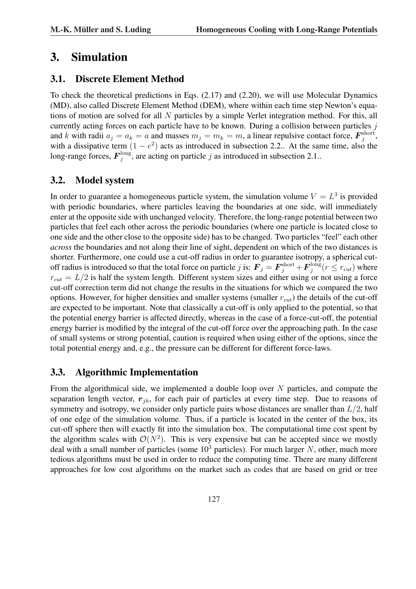# 3. Simulation

### 3.1. Discrete Element Method

To check the theoretical predictions in Eqs. (2.17) and (2.20), we will use Molecular Dynamics (MD), also called Discrete Element Method (DEM), where within each time step Newton's equations of motion are solved for all N particles by a simple Verlet integration method. For this, all currently acting forces on each particle have to be known. During a collision between particles  $j$ and k with radii  $a_j = a_k = a$  and masses  $m_j = m_k = m$ , a linear repulsive contact force,  $\mathbf{F}_j^{\text{short}}$  $_{j}^{\rm short},$ with a dissipative term  $(1 - e^2)$  acts as introduced in subsection 2.2.. At the same time, also the long-range forces,  $\boldsymbol{F}_i^{\text{long}}$  $j_j^{\text{long}}$ , are acting on particle j as introduced in subsection 2.1..

### 3.2. Model system

In order to guarantee a homogeneous particle system, the simulation volume  $V = L<sup>3</sup>$  is provided with periodic boundaries, where particles leaving the boundaries at one side, will immediately enter at the opposite side with unchanged velocity. Therefore, the long-range potential between two particles that feel each other across the periodic boundaries (where one particle is located close to one side and the other close to the opposite side) has to be changed. Two particles "feel" each other *across* the boundaries and not along their line of sight, dependent on which of the two distances is shorter. Furthermore, one could use a cut-off radius in order to guarantee isotropy, a spherical cutoff radius is introduced so that the total force on particle j is:  $\boldsymbol{F}_j = \boldsymbol{F}_j^{\rm short} + \boldsymbol{F}_j^{\rm long}$  $j^{\text{long}}(r \leq r_{cut})$  where  $r_{cut} = L/2$  is half the system length. Different system sizes and either using or not using a force cut-off correction term did not change the results in the situations for which we compared the two options. However, for higher densities and smaller systems (smaller  $r_{cut}$ ) the details of the cut-off are expected to be important. Note that classically a cut-off is only applied to the potential, so that the potential energy barrier is affected directly, whereas in the case of a force-cut-off, the potential energy barrier is modified by the integral of the cut-off force over the approaching path. In the case of small systems or strong potential, caution is required when using either of the options, since the total potential energy and, e.g., the pressure can be different for different force-laws.

### 3.3. Algorithmic Implementation

From the algorithmical side, we implemented a double loop over  $N$  particles, and compute the separation length vector,  $r_{jk}$ , for each pair of particles at every time step. Due to reasons of symmetry and isotropy, we consider only particle pairs whose distances are smaller than  $L/2$ , half of one edge of the simulation volume. Thus, if a particle is located in the center of the box, its cut-off sphere then will exactly fit into the simulation box. The computational time cost spent by the algorithm scales with  $\mathcal{O}(N^2)$ . This is very expensive but can be accepted since we mostly deal with a small number of particles (some  $10<sup>3</sup>$  particles). For much larger N, other, much more tedious algorithms must be used in order to reduce the computing time. There are many different approaches for low cost algorithms on the market such as codes that are based on grid or tree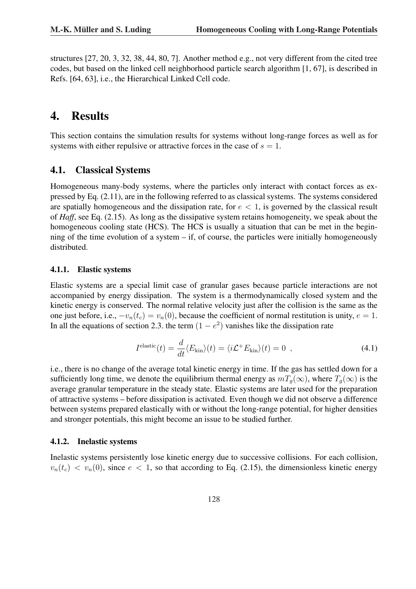structures [27, 20, 3, 32, 38, 44, 80, 7]. Another method e.g., not very different from the cited tree codes, but based on the linked cell neighborhood particle search algorithm [1, 67], is described in Refs. [64, 63], i.e., the Hierarchical Linked Cell code.

# 4. Results

This section contains the simulation results for systems without long-range forces as well as for systems with either repulsive or attractive forces in the case of  $s = 1$ .

#### 4.1. Classical Systems

Homogeneous many-body systems, where the particles only interact with contact forces as expressed by Eq. (2.11), are in the following referred to as classical systems. The systems considered are spatially homogeneous and the dissipation rate, for  $e < 1$ , is governed by the classical result of *Haff*, see Eq. (2.15). As long as the dissipative system retains homogeneity, we speak about the homogeneous cooling state (HCS). The HCS is usually a situation that can be met in the beginning of the time evolution of a system – if, of course, the particles were initially homogeneously distributed.

#### 4.1.1. Elastic systems

Elastic systems are a special limit case of granular gases because particle interactions are not accompanied by energy dissipation. The system is a thermodynamically closed system and the kinetic energy is conserved. The normal relative velocity just after the collision is the same as the one just before, i.e.,  $-v_n(t_c) = v_n(0)$ , because the coefficient of normal restitution is unity,  $e = 1$ . In all the equations of section 2.3. the term  $(1 - e^2)$  vanishes like the dissipation rate

$$
Ielastic(t) = \frac{d}{dt} \langle E_{\rm kin} \rangle(t) = \langle i \mathcal{L}^+ E_{\rm kin} \rangle(t) = 0 \quad , \tag{4.1}
$$

i.e., there is no change of the average total kinetic energy in time. If the gas has settled down for a sufficiently long time, we denote the equilibrium thermal energy as  $mT<sub>g</sub>(\infty)$ , where  $T<sub>g</sub>(\infty)$  is the average granular temperature in the steady state. Elastic systems are later used for the preparation of attractive systems – before dissipation is activated. Even though we did not observe a difference between systems prepared elastically with or without the long-range potential, for higher densities and stronger potentials, this might become an issue to be studied further.

#### 4.1.2. Inelastic systems

Inelastic systems persistently lose kinetic energy due to successive collisions. For each collision,  $v_n(t_c) < v_n(0)$ , since  $e < 1$ , so that according to Eq. (2.15), the dimensionless kinetic energy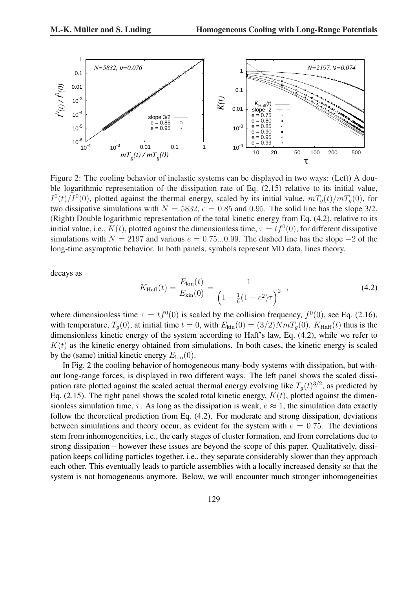

Figure 2: The cooling behavior of inelastic systems can be displayed in two ways: (Left) A double logarithmic representation of the dissipation rate of Eq. (2.15) relative to its initial value,  $I^0(t)/I^0(0)$ , plotted against the thermal energy, scaled by its initial value,  $mT_g(t)/mT_g(0)$ , for two dissipative simulations with  $N = 5832$ ,  $e = 0.85$  and 0.95. The solid line has the slope 3/2. (Right) Double logarithmic representation of the total kinetic energy from Eq. (4.2), relative to its initial value, i.e.,  $K(t)$ , plotted against the dimensionless time,  $\tau = tf^0(0)$ , for different dissipative simulations with  $N = 2197$  and various  $e = 0.75...0.99$ . The dashed line has the slope  $-2$  of the long-time asymptotic behavior. In both panels, symbols represent MD data, lines theory.

decays as

$$
K_{\text{Haff}}(t) = \frac{E_{\text{kin}}(t)}{E_{\text{kin}}(0)} = \frac{1}{\left(1 + \frac{1}{6}(1 - e^2)\tau\right)^2} \tag{4.2}
$$

where dimensionless time  $\tau = tf^0(0)$  is scaled by the collision frequency,  $f^0(0)$ , see Eq. (2.16), with temperature,  $T_q(0)$ , at initial time  $t = 0$ , with  $E_{kin}(0) = (3/2)NmT_q(0)$ .  $K_{Haff}(t)$  thus is the dimensionless kinetic energy of the system according to Haff's law, Eq. (4.2), while we refer to  $K(t)$  as the kinetic energy obtained from simulations. In both cases, the kinetic energy is scaled by the (same) initial kinetic energy  $E_{kin}(0)$ .

In Fig. 2 the cooling behavior of homogeneous many-body systems with dissipation, but without long-range forces, is displayed in two different ways. The left panel shows the scaled dissipation rate plotted against the scaled actual thermal energy evolving like  $T_g(t)^{3/2}$ , as predicted by Eq. (2.15). The right panel shows the scaled total kinetic energy,  $K(t)$ , plotted against the dimensionless simulation time,  $\tau$ . As long as the dissipation is weak,  $e \approx 1$ , the simulation data exactly follow the theoretical prediction from Eq. (4.2). For moderate and strong dissipation, deviations between simulations and theory occur, as evident for the system with  $e = 0.75$ . The deviations stem from inhomogeneities, i.e., the early stages of cluster formation, and from correlations due to strong dissipation – however these issues are beyond the scope of this paper. Qualitatively, dissipation keeps colliding particles together, i.e., they separate considerably slower than they approach each other. This eventually leads to particle assemblies with a locally increased density so that the system is not homogeneous anymore. Below, we will encounter much stronger inhomogeneities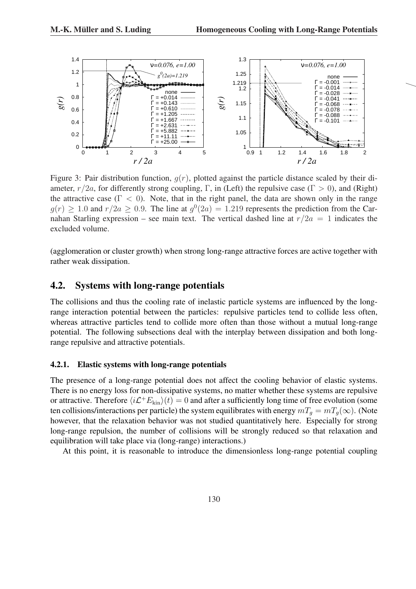

Figure 3: Pair distribution function,  $q(r)$ , plotted against the particle distance scaled by their diameter,  $r/2a$ , for differently strong coupling, Γ, in (Left) the repulsive case (Γ > 0), and (Right) the attractive case ( $\Gamma$  < 0). Note, that in the right panel, the data are shown only in the range  $g(r) \ge 1.0$  and  $r/2a \ge 0.9$ . The line at  $g^0(2a) = 1.219$  represents the prediction from the Carnahan Starling expression – see main text. The vertical dashed line at  $r/2a = 1$  indicates the excluded volume.

(agglomeration or cluster growth) when strong long-range attractive forces are active together with rather weak dissipation.

#### 4.2. Systems with long-range potentials

The collisions and thus the cooling rate of inelastic particle systems are influenced by the longrange interaction potential between the particles: repulsive particles tend to collide less often, whereas attractive particles tend to collide more often than those without a mutual long-range potential. The following subsections deal with the interplay between dissipation and both longrange repulsive and attractive potentials.

#### 4.2.1. Elastic systems with long-range potentials

The presence of a long-range potential does not affect the cooling behavior of elastic systems. There is no energy loss for non-dissipative systems, no matter whether these systems are repulsive or attractive. Therefore  $\langle i\mathcal{L}^+E_{\rm kin}\rangle(t) = 0$  and after a sufficiently long time of free evolution (some ten collisions/interactions per particle) the system equilibrates with energy  $mT_a = mT_a(\infty)$ . (Note however, that the relaxation behavior was not studied quantitatively here. Especially for strong long-range repulsion, the number of collisions will be strongly reduced so that relaxation and equilibration will take place via (long-range) interactions.)

At this point, it is reasonable to introduce the dimensionless long-range potential coupling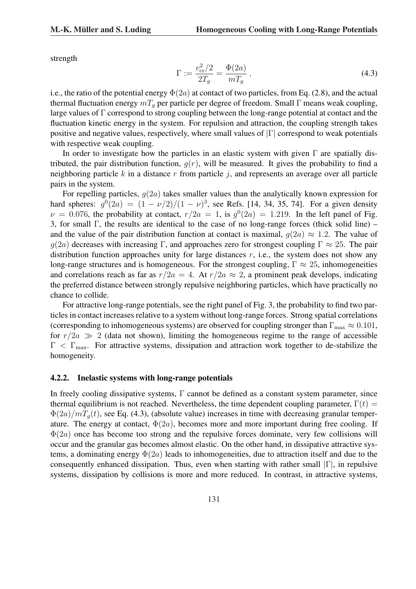strength

$$
\Gamma := \frac{v_{\rm cr}^2/2}{2T_g} = \frac{\Phi(2a)}{mT_g} \,,\tag{4.3}
$$

i.e., the ratio of the potential energy  $\Phi(2a)$  at contact of two particles, from Eq. (2.8), and the actual thermal fluctuation energy  $mT<sub>g</sub>$  per particle per degree of freedom. Small Γ means weak coupling, large values of  $\Gamma$  correspond to strong coupling between the long-range potential at contact and the fluctuation kinetic energy in the system. For repulsion and attraction, the coupling strength takes positive and negative values, respectively, where small values of |Γ| correspond to weak potentials with respective weak coupling.

In order to investigate how the particles in an elastic system with given  $\Gamma$  are spatially distributed, the pair distribution function,  $g(r)$ , will be measured. It gives the probability to find a neighboring particle k in a distance r from particle  $i$ , and represents an average over all particle pairs in the system.

For repelling particles,  $q(2a)$  takes smaller values than the analytically known expression for hard spheres:  $g^{0}(2a) = (1 - \nu/2)/(1 - \nu)^{3}$ , see Refs. [14, 34, 35, 74]. For a given density  $\nu = 0.076$ , the probability at contact,  $r/2a = 1$ , is  $g^0(2a) = 1.219$ . In the left panel of Fig. 3, for small Γ, the results are identical to the case of no long-range forces (thick solid line) – and the value of the pair distribution function at contact is maximal,  $q(2a) \approx 1.2$ . The value of  $q(2a)$  decreases with increasing Γ, and approaches zero for strongest coupling  $\Gamma \approx 25$ . The pair distribution function approaches unity for large distances  $r$ , i.e., the system does not show any long-range structures and is homogeneous. For the strongest coupling,  $\Gamma \approx 25$ , inhomogeneities and correlations reach as far as  $r/2a = 4$ . At  $r/2a \approx 2$ , a prominent peak develops, indicating the preferred distance between strongly repulsive neighboring particles, which have practically no chance to collide.

For attractive long-range potentials, see the right panel of Fig. 3, the probability to find two particles in contact increases relative to a system without long-range forces. Strong spatial correlations (corresponding to inhomogeneous systems) are observed for coupling stronger than  $\Gamma_{\text{max}} \approx 0.101$ , for  $r/2a \gg 2$  (data not shown), limiting the homogeneous regime to the range of accessible  $\Gamma < \Gamma_{\text{max}}$ . For attractive systems, dissipation and attraction work together to de-stabilize the homogeneity.

#### 4.2.2. Inelastic systems with long-range potentials

In freely cooling dissipative systems,  $\Gamma$  cannot be defined as a constant system parameter, since thermal equilibrium is not reached. Nevertheless, the time dependent coupling parameter,  $\Gamma(t)$  =  $\Phi(2a)/mT_q(t)$ , see Eq. (4.3), (absolute value) increases in time with decreasing granular temperature. The energy at contact,  $\Phi(2a)$ , becomes more and more important during free cooling. If  $\Phi(2a)$  once has become too strong and the repulsive forces dominate, very few collisions will occur and the granular gas becomes almost elastic. On the other hand, in dissipative attractive systems, a dominating energy  $\Phi(2a)$  leads to inhomogeneities, due to attraction itself and due to the consequently enhanced dissipation. Thus, even when starting with rather small  $|\Gamma|$ , in repulsive systems, dissipation by collisions is more and more reduced. In contrast, in attractive systems,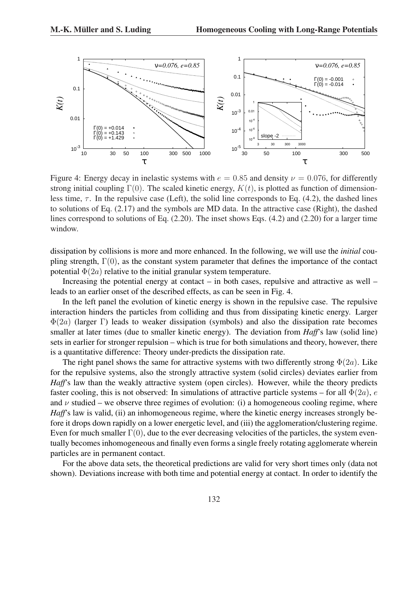

Figure 4: Energy decay in inelastic systems with  $e = 0.85$  and density  $\nu = 0.076$ , for differently strong initial coupling  $\Gamma(0)$ . The scaled kinetic energy,  $K(t)$ , is plotted as function of dimensionless time,  $\tau$ . In the repulsive case (Left), the solid line corresponds to Eq. (4.2), the dashed lines to solutions of Eq. (2.17) and the symbols are MD data. In the attractive case (Right), the dashed lines correspond to solutions of Eq. (2.20). The inset shows Eqs. (4.2) and (2.20) for a larger time window.

dissipation by collisions is more and more enhanced. In the following, we will use the *initial* coupling strength,  $\Gamma(0)$ , as the constant system parameter that defines the importance of the contact potential  $\Phi(2a)$  relative to the initial granular system temperature.

Increasing the potential energy at contact – in both cases, repulsive and attractive as well – leads to an earlier onset of the described effects, as can be seen in Fig. 4.

In the left panel the evolution of kinetic energy is shown in the repulsive case. The repulsive interaction hinders the particles from colliding and thus from dissipating kinetic energy. Larger  $\Phi(2a)$  (larger Γ) leads to weaker dissipation (symbols) and also the dissipation rate becomes smaller at later times (due to smaller kinetic energy). The deviation from *Haff*'s law (solid line) sets in earlier for stronger repulsion – which is true for both simulations and theory, however, there is a quantitative difference: Theory under-predicts the dissipation rate.

The right panel shows the same for attractive systems with two differently strong  $\Phi(2a)$ . Like for the repulsive systems, also the strongly attractive system (solid circles) deviates earlier from *Haff*'s law than the weakly attractive system (open circles). However, while the theory predicts faster cooling, this is not observed: In simulations of attractive particle systems – for all  $\Phi(2a)$ , e and  $\nu$  studied – we observe three regimes of evolution: (i) a homogeneous cooling regime, where *Haff*'s law is valid, (ii) an inhomogeneous regime, where the kinetic energy increases strongly before it drops down rapidly on a lower energetic level, and (iii) the agglomeration/clustering regime. Even for much smaller  $\Gamma(0)$ , due to the ever decreasing velocities of the particles, the system eventually becomes inhomogeneous and finally even forms a single freely rotating agglomerate wherein particles are in permanent contact.

For the above data sets, the theoretical predictions are valid for very short times only (data not shown). Deviations increase with both time and potential energy at contact. In order to identify the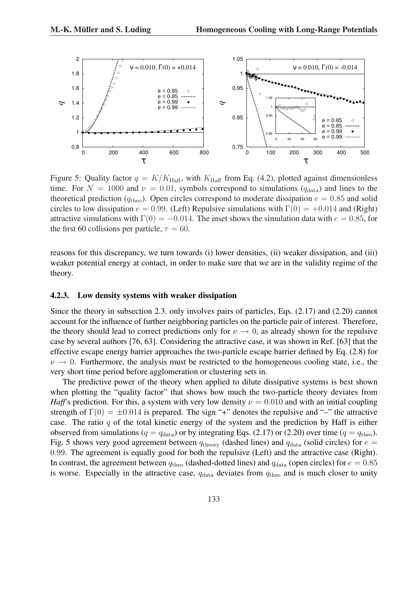

Figure 5: Quality factor  $q = K/K_{\text{Haff}}$ , with  $K_{\text{Haff}}$  from Eq. (4.2), plotted against dimensionless time. For  $N = 1000$  and  $\nu = 0.01$ , symbols correspond to simulations ( $q_{data}$ ) and lines to the theoretical prediction ( $q_{\text{theo}}$ ). Open circles correspond to moderate dissipation  $e = 0.85$  and solid circles to low dissipation  $e = 0.99$ . (Left) Repulsive simulations with  $\Gamma(0) = +0.014$  and (Right) attractive simulations with  $\Gamma(0) = -0.014$ . The inset shows the simulation data with  $e = 0.85$ , for the first 60 collisions per particle,  $\tau = 60$ .

reasons for this discrepancy, we turn towards (i) lower densities, (ii) weaker dissipation, and (iii) weaker potential energy at contact, in order to make sure that we are in the validity regime of the theory.

#### 4.2.3. Low density systems with weaker dissipation

Since the theory in subsection 2.3. only involves pairs of particles, Eqs. (2.17) and (2.20) cannot account for the influence of further neighboring particles on the particle pair of interest. Therefore, the theory should lead to correct predictions only for  $\nu \rightarrow 0$ , as already shown for the repulsive case by several authors [76, 63]. Considering the attractive case, it was shown in Ref. [63] that the effective escape energy barrier approaches the two-particle escape barrier defined by Eq. (2.8) for  $\nu \rightarrow 0$ . Furthermore, the analysis must be restricted to the homogeneous cooling state, i.e., the very short time period before agglomeration or clustering sets in.

The predictive power of the theory when applied to dilute dissipative systems is best shown when plotting the "quality factor" that shows how much the two-particle theory deviates from *Haff*'s prediction. For this, a system with very low density  $\nu = 0.010$  and with an initial coupling strength of  $\Gamma(0) = \pm 0.014$  is prepared. The sign "+" denotes the repulsive and "-" the attractive case. The ratio  $q$  of the total kinetic energy of the system and the prediction by Haff is either observed from simulations ( $q = q_{data}$ ) or by integrating Eqs. (2.17) or (2.20) over time ( $q = q_{theo}$ ). Fig. 5 shows very good agreement between  $q_{\text{theory}}$  (dashed lines) and  $q_{\text{data}}$  (solid circles) for  $e =$ 0.99. The agreement is equally good for both the repulsive (Left) and the attractive case (Right). In contrast, the agreement between  $q_{\text{theo}}$  (dashed-dotted lines) and  $q_{\text{data}}$  (open circles) for  $e = 0.85$ is worse. Especially in the attractive case,  $q_{data}$  deviates from  $q_{theo}$  and is much closer to unity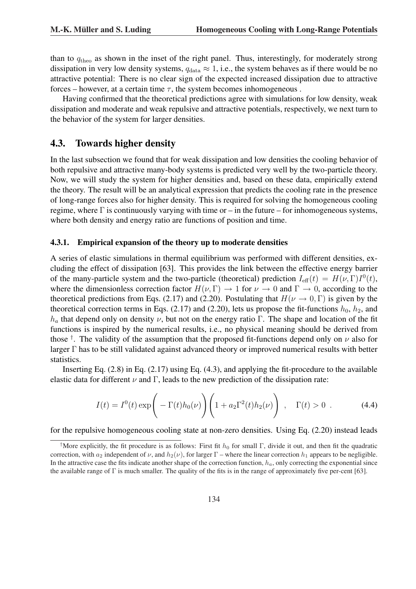than to  $q_{\text{theo}}$  as shown in the inset of the right panel. Thus, interestingly, for moderately strong dissipation in very low density systems,  $q_{data} \approx 1$ , i.e., the system behaves as if there would be no attractive potential: There is no clear sign of the expected increased dissipation due to attractive forces – however, at a certain time  $\tau$ , the system becomes inhomogeneous.

Having confirmed that the theoretical predictions agree with simulations for low density, weak dissipation and moderate and weak repulsive and attractive potentials, respectively, we next turn to the behavior of the system for larger densities.

#### 4.3. Towards higher density

In the last subsection we found that for weak dissipation and low densities the cooling behavior of both repulsive and attractive many-body systems is predicted very well by the two-particle theory. Now, we will study the system for higher densities and, based on these data, empirically extend the theory. The result will be an analytical expression that predicts the cooling rate in the presence of long-range forces also for higher density. This is required for solving the homogeneous cooling regime, where  $\Gamma$  is continuously varying with time or – in the future – for inhomogeneous systems, where both density and energy ratio are functions of position and time.

#### 4.3.1. Empirical expansion of the theory up to moderate densities

A series of elastic simulations in thermal equilibrium was performed with different densities, excluding the effect of dissipation [63]. This provides the link between the effective energy barrier of the many-particle system and the two-particle (theoretical) prediction  $I_{\text{eff}}(t) = H(\nu, \Gamma)I^0(t)$ , where the dimensionless correction factor  $H(\nu, \Gamma) \to 1$  for  $\nu \to 0$  and  $\Gamma \to 0$ , according to the theoretical predictions from Eqs. (2.17) and (2.20). Postulating that  $H(\nu \to 0, \Gamma)$  is given by the theoretical correction terms in Eqs. (2.17) and (2.20), lets us propose the fit-functions  $h_0$ ,  $h_2$ , and  $h_a$  that depend only on density  $\nu$ , but not on the energy ratio Γ. The shape and location of the fit functions is inspired by the numerical results, i.e., no physical meaning should be derived from those <sup>†</sup>. The validity of the assumption that the proposed fit-functions depend only on  $\nu$  also for larger Γ has to be still validated against advanced theory or improved numerical results with better statistics.

Inserting Eq. (2.8) in Eq. (2.17) using Eq. (4.3), and applying the fit-procedure to the available elastic data for different  $\nu$  and Γ, leads to the new prediction of the dissipation rate:

$$
I(t) = I0(t) \exp\left(-\Gamma(t)h_0(\nu)\right) \left(1 + a_2\Gamma^2(t)h_2(\nu)\right) , \quad \Gamma(t) > 0 . \tag{4.4}
$$

for the repulsive homogeneous cooling state at non-zero densities. Using Eq. (2.20) instead leads

<sup>&</sup>lt;sup>†</sup>More explicitly, the fit procedure is as follows: First fit  $h_0$  for small Γ, divide it out, and then fit the quadratic correction, with  $a_2$  independent of  $\nu$ , and  $h_2(\nu)$ , for larger  $\Gamma$  – where the linear correction  $h_1$  appears to be negligible. In the attractive case the fits indicate another shape of the correction function,  $h_a$ , only correcting the exponential since the available range of Γ is much smaller. The quality of the fits is in the range of approximately five per-cent [63].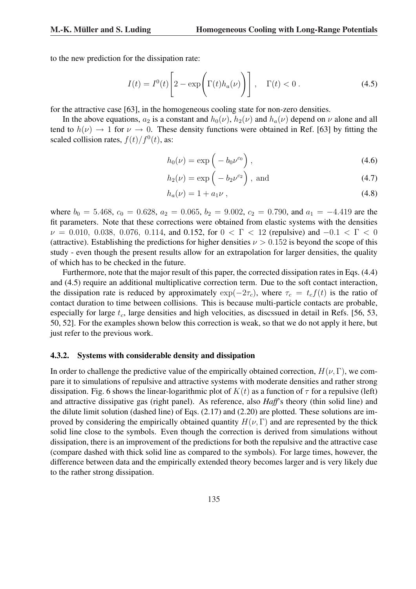to the new prediction for the dissipation rate:

$$
I(t) = I^{0}(t) \left[ 2 - \exp\left(\Gamma(t)h_{a}(\nu)\right) \right], \quad \Gamma(t) < 0.
$$
 (4.5)

for the attractive case [63], in the homogeneous cooling state for non-zero densities.

In the above equations,  $a_2$  is a constant and  $h_0(\nu)$ ,  $h_2(\nu)$  and  $h_a(\nu)$  depend on  $\nu$  alone and all tend to  $h(\nu) \rightarrow 1$  for  $\nu \rightarrow 0$ . These density functions were obtained in Ref. [63] by fitting the scaled collision rates,  $f(t)/f^{0}(t)$ , as:

$$
h_0(\nu) = \exp\left(-b_0\nu^{c_0}\right),\tag{4.6}
$$

$$
h_2(\nu) = \exp\left(-b_2\nu^{c_2}\right), \text{ and} \tag{4.7}
$$

$$
h_a(\nu) = 1 + a_1 \nu \tag{4.8}
$$

where  $b_0 = 5.468$ ,  $c_0 = 0.628$ ,  $a_2 = 0.065$ ,  $b_2 = 9.002$ ,  $c_2 = 0.790$ , and  $a_1 = -4.419$  are the fit parameters. Note that these corrections were obtained from elastic systems with the densities  $\nu = 0.010, 0.038, 0.076, 0.114,$  and 0.152, for  $0 < \Gamma < 12$  (repulsive) and  $-0.1 < \Gamma < 0$ (attractive). Establishing the predictions for higher densities  $\nu > 0.152$  is beyond the scope of this study - even though the present results allow for an extrapolation for larger densities, the quality of which has to be checked in the future.

Furthermore, note that the major result of this paper, the corrected dissipation rates in Eqs. (4.4) and (4.5) require an additional multiplicative correction term. Due to the soft contact interaction, the dissipation rate is reduced by approximately  $\exp(-2\tau_c)$ , where  $\tau_c = t_c f(t)$  is the ratio of contact duration to time between collisions. This is because multi-particle contacts are probable, especially for large  $t_c$ , large densities and high velocities, as discssued in detail in Refs. [56, 53, 50, 52]. For the examples shown below this correction is weak, so that we do not apply it here, but just refer to the previous work.

#### 4.3.2. Systems with considerable density and dissipation

In order to challenge the predictive value of the empirically obtained correction,  $H(\nu, \Gamma)$ , we compare it to simulations of repulsive and attractive systems with moderate densities and rather strong dissipation. Fig. 6 shows the linear-logarithmic plot of  $K(t)$  as a function of  $\tau$  for a repulsive (left) and attractive dissipative gas (right panel). As reference, also *Haff*'s theory (thin solid line) and the dilute limit solution (dashed line) of Eqs. (2.17) and (2.20) are plotted. These solutions are improved by considering the empirically obtained quantity  $H(\nu, \Gamma)$  and are represented by the thick solid line close to the symbols. Even though the correction is derived from simulations without dissipation, there is an improvement of the predictions for both the repulsive and the attractive case (compare dashed with thick solid line as compared to the symbols). For large times, however, the difference between data and the empirically extended theory becomes larger and is very likely due to the rather strong dissipation.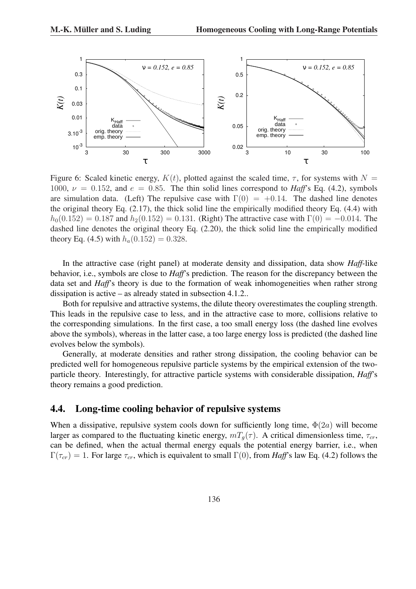

Figure 6: Scaled kinetic energy,  $K(t)$ , plotted against the scaled time,  $\tau$ , for systems with  $N =$ 1000,  $\nu = 0.152$ , and  $e = 0.85$ . The thin solid lines correspond to *Haff*'s Eq. (4.2), symbols are simulation data. (Left) The repulsive case with  $\Gamma(0) = +0.14$ . The dashed line denotes the original theory Eq. (2.17), the thick solid line the empirically modified theory Eq. (4.4) with  $h_0(0.152) = 0.187$  and  $h_2(0.152) = 0.131$ . (Right) The attractive case with  $\Gamma(0) = -0.014$ . The dashed line denotes the original theory Eq. (2.20), the thick solid line the empirically modified theory Eq. (4.5) with  $h_a(0.152) = 0.328$ .

In the attractive case (right panel) at moderate density and dissipation, data show *Haff*-like behavior, i.e., symbols are close to *Haff*'s prediction. The reason for the discrepancy between the data set and *Haff*'s theory is due to the formation of weak inhomogeneities when rather strong dissipation is active – as already stated in subsection 4.1.2..

Both for repulsive and attractive systems, the dilute theory overestimates the coupling strength. This leads in the repulsive case to less, and in the attractive case to more, collisions relative to the corresponding simulations. In the first case, a too small energy loss (the dashed line evolves above the symbols), whereas in the latter case, a too large energy loss is predicted (the dashed line evolves below the symbols).

Generally, at moderate densities and rather strong dissipation, the cooling behavior can be predicted well for homogeneous repulsive particle systems by the empirical extension of the twoparticle theory. Interestingly, for attractive particle systems with considerable dissipation, *Haff*'s theory remains a good prediction.

### 4.4. Long-time cooling behavior of repulsive systems

When a dissipative, repulsive system cools down for sufficiently long time,  $\Phi(2a)$  will become larger as compared to the fluctuating kinetic energy,  $mT_q(\tau)$ . A critical dimensionless time,  $\tau_{cr}$ , can be defined, when the actual thermal energy equals the potential energy barrier, i.e., when  $\Gamma(\tau_{cr}) = 1$ . For large  $\tau_{cr}$ , which is equivalent to small  $\Gamma(0)$ , from *Haff*'s law Eq. (4.2) follows the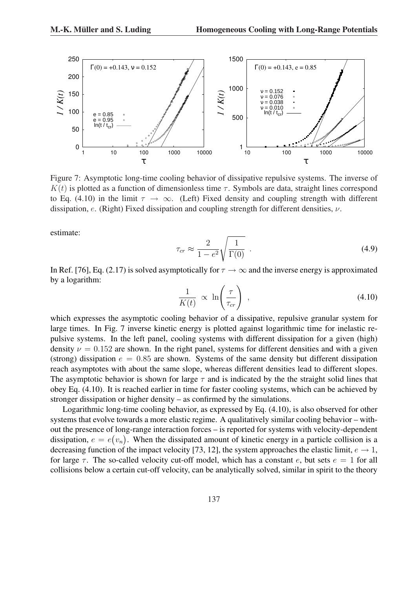

Figure 7: Asymptotic long-time cooling behavior of dissipative repulsive systems. The inverse of  $K(t)$  is plotted as a function of dimensionless time  $\tau$ . Symbols are data, straight lines correspond to Eq. (4.10) in the limit  $\tau \to \infty$ . (Left) Fixed density and coupling strength with different dissipation, e. (Right) Fixed dissipation and coupling strength for different densities,  $\nu$ .

estimate:

$$
\tau_{cr} \approx \frac{2}{1 - e^2} \sqrt{\frac{1}{\Gamma(0)}} \tag{4.9}
$$

In Ref. [76], Eq. (2.17) is solved asymptotically for  $\tau \to \infty$  and the inverse energy is approximated by a logarithm:

$$
\frac{1}{K(t)} \propto \ln\left(\frac{\tau}{\tau_{cr}}\right) , \qquad (4.10)
$$

which expresses the asymptotic cooling behavior of a dissipative, repulsive granular system for large times. In Fig. 7 inverse kinetic energy is plotted against logarithmic time for inelastic repulsive systems. In the left panel, cooling systems with different dissipation for a given (high) density  $\nu = 0.152$  are shown. In the right panel, systems for different densities and with a given (strong) dissipation  $e = 0.85$  are shown. Systems of the same density but different dissipation reach asymptotes with about the same slope, whereas different densities lead to different slopes. The asymptotic behavior is shown for large  $\tau$  and is indicated by the the straight solid lines that obey Eq. (4.10). It is reached earlier in time for faster cooling systems, which can be achieved by stronger dissipation or higher density – as confirmed by the simulations.

Logarithmic long-time cooling behavior, as expressed by Eq. (4.10), is also observed for other systems that evolve towards a more elastic regime. A qualitatively similar cooling behavior – without the presence of long-range interaction forces – is reported for systems with velocity-dependent dissipation,  $e = e(v_n)$ . When the dissipated amount of kinetic energy in a particle collision is a decreasing function of the impact velocity [73, 12], the system approaches the elastic limit,  $e \rightarrow 1$ , for large  $\tau$ . The so-called velocity cut-off model, which has a constant e, but sets  $e = 1$  for all collisions below a certain cut-off velocity, can be analytically solved, similar in spirit to the theory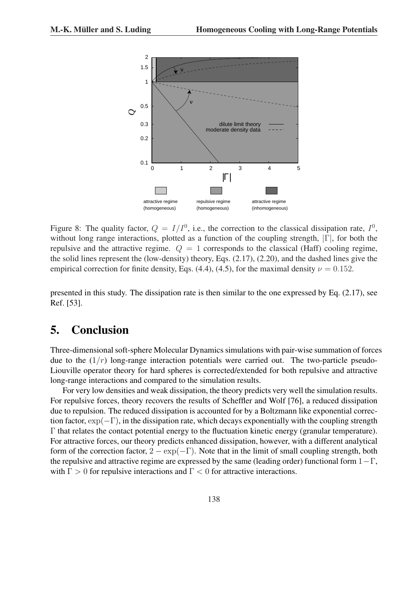

Figure 8: The quality factor,  $Q = I/I^0$ , i.e., the correction to the classical dissipation rate,  $I^0$ , without long range interactions, plotted as a function of the coupling strength, |Γ|, for both the repulsive and the attractive regime.  $Q = 1$  corresponds to the classical (Haff) cooling regime, the solid lines represent the (low-density) theory, Eqs. (2.17), (2.20), and the dashed lines give the empirical correction for finite density, Eqs. (4.4), (4.5), for the maximal density  $\nu = 0.152$ .

presented in this study. The dissipation rate is then similar to the one expressed by Eq. (2.17), see Ref. [53].

# 5. Conclusion

Three-dimensional soft-sphere Molecular Dynamics simulations with pair-wise summation of forces due to the  $(1/r)$  long-range interaction potentials were carried out. The two-particle pseudo-Liouville operator theory for hard spheres is corrected/extended for both repulsive and attractive long-range interactions and compared to the simulation results.

For very low densities and weak dissipation, the theory predicts very well the simulation results. For repulsive forces, theory recovers the results of Scheffler and Wolf [76], a reduced dissipation due to repulsion. The reduced dissipation is accounted for by a Boltzmann like exponential correction factor,  $\exp(-\Gamma)$ , in the dissipation rate, which decays exponentially with the coupling strength Γ that relates the contact potential energy to the fluctuation kinetic energy (granular temperature). For attractive forces, our theory predicts enhanced dissipation, however, with a different analytical form of the correction factor,  $2 - \exp(-\Gamma)$ . Note that in the limit of small coupling strength, both the repulsive and attractive regime are expressed by the same (leading order) functional form  $1-\Gamma$ , with  $\Gamma > 0$  for repulsive interactions and  $\Gamma < 0$  for attractive interactions.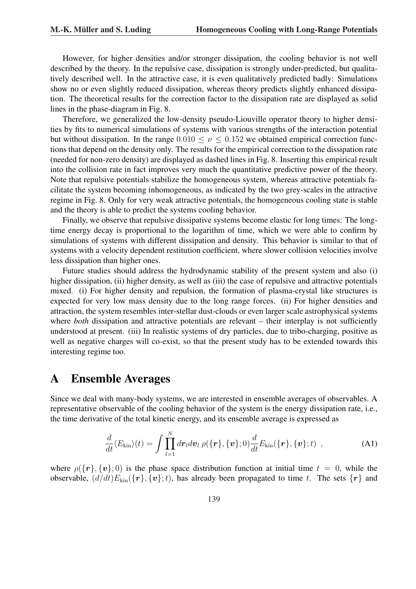However, for higher densities and/or stronger dissipation, the cooling behavior is not well described by the theory. In the repulsive case, dissipation is strongly under-predicted, but qualitatively described well. In the attractive case, it is even qualitatively predicted badly: Simulations show no or even slightly reduced dissipation, whereas theory predicts slightly enhanced dissipation. The theoretical results for the correction factor to the dissipation rate are displayed as solid lines in the phase-diagram in Fig. 8.

Therefore, we generalized the low-density pseudo-Liouville operator theory to higher densities by fits to numerical simulations of systems with various strengths of the interaction potential but without dissipation. In the range  $0.010 \le \nu \le 0.152$  we obtained empirical correction functions that depend on the density only. The results for the empirical correction to the dissipation rate (needed for non-zero density) are displayed as dashed lines in Fig. 8. Inserting this empirical result into the collision rate in fact improves very much the quantitative predictive power of the theory. Note that repulsive potentials stabilize the homogeneous system, whereas attractive potentials facilitate the system becoming inhomogeneous, as indicated by the two grey-scales in the attractive regime in Fig. 8. Only for very weak attractive potentials, the homogeneous cooling state is stable and the theory is able to predict the systems cooling behavior.

Finally, we observe that repulsive dissipative systems become elastic for long times: The longtime energy decay is proportional to the logarithm of time, which we were able to confirm by simulations of systems with different dissipation and density. This behavior is similar to that of systems with a velocity dependent restitution coefficient, where slower collision velocities involve less dissipation than higher ones.

Future studies should address the hydrodynamic stability of the present system and also (i) higher dissipation, (ii) higher density, as well as (iii) the case of repulsive and attractive potentials mixed. (i) For higher density and repulsion, the formation of plasma-crystal like structures is expected for very low mass density due to the long range forces. (ii) For higher densities and attraction, the system resembles inter-stellar dust-clouds or even larger scale astrophysical systems where *both* dissipation and attractive potentials are relevant – their interplay is not sufficiently understood at present. (iii) In realistic systems of dry particles, due to tribo-charging, positive as well as negative charges will co-exist, so that the present study has to be extended towards this interesting regime too.

# A Ensemble Averages

Since we deal with many-body systems, we are interested in ensemble averages of observables. A representative observable of the cooling behavior of the system is the energy dissipation rate, i.e., the time derivative of the total kinetic energy, and its ensemble average is expressed as

$$
\frac{d}{dt}\langle E_{\rm kin}\rangle(t) = \int \prod_{l=1}^N dr_l dv_l \,\rho(\{\boldsymbol{r}\},\{\boldsymbol{v}\};0)\frac{d}{dt}E_{\rm kin}(\{\boldsymbol{r}\},\{\boldsymbol{v}\};t) \,,\tag{A1}
$$

where  $\rho({\{r\}, \{v\}; 0)}$  is the phase space distribution function at initial time  $t = 0$ , while the observable,  $(d/dt)E_{kin}(\{r\}, \{v\}; t)$ , has already been propagated to time t. The sets  $\{r\}$  and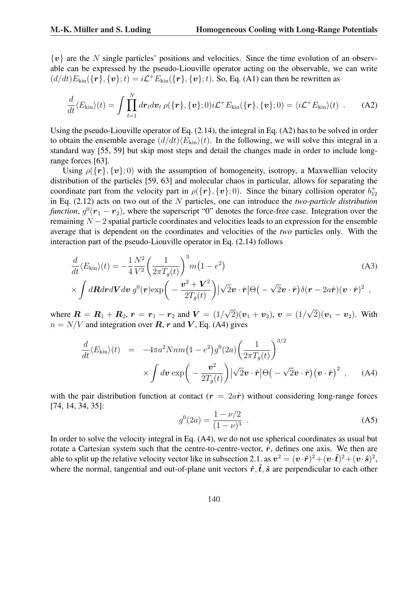${v}$  are the N single particles' positions and velocities. Since the time evolution of an observable can be expressed by the pseudo-Liouville operator acting on the observable, we can write  $(d/dt)E_{kin}(\{r\},\{v\};t) = i\mathcal{L}^+E_{kin}(\{r\},\{v\};t)$ . So, Eq. (A1) can then be rewritten as

$$
\frac{d}{dt}\langle E_{\rm kin}\rangle(t) = \int \prod_{l=1}^N dr_l dv_l \,\rho(\{\boldsymbol{r}\},\{\boldsymbol{v}\};0) i\mathcal{L}^+ E_{\rm kin}(\{\boldsymbol{r}\},\{\boldsymbol{v}\};0) = \langle i\mathcal{L}^+ E_{\rm kin}\rangle(t) \ . \tag{A2}
$$

Using the pseudo-Liouville operator of Eq. (2.14), the integral in Eq. (A2) has to be solved in order to obtain the ensemble average  $(d/dt)\langle E_{kin}\rangle(t)$ . In the following, we will solve this integral in a standard way [55, 59] but skip most steps and detail the changes made in order to include longrange forces [63].

Using  $\rho({\{r\}}, {\{v\}}; 0)$  with the assumption of homogeneity, isotropy, a Maxwellian velocity distribution of the particles [59, 63] and molecular chaos in particular, allows for separating the coordinate part from the velocity part in  $\rho({\{r\}, \{v\}; 0})$ . Since the binary collision operator  $b_{12}^+$ in Eq. (2.12) acts on two out of the N particles, one can introduce the *two*-*particle distribution function*,  $g^0(\mathbf{r}_1 - \mathbf{r}_2)$ , where the superscript "0" denotes the force-free case. Integration over the remaining  $N - 2$  spatial particle coordinates and velocities leads to an expression for the ensemble average that is dependent on the coordinates and velocities of the *two* particles only. With the interaction part of the pseudo-Liouville operator in Eq. (2.14) follows

$$
\frac{d}{dt}\langle E_{\rm kin}\rangle(t) = -\frac{1}{4}\frac{N^2}{V^2} \left(\frac{1}{2\pi T_g(t)}\right)^3 m(1 - e^2)
$$
\n
$$
\times \int d\mathbf{R} dr d\mathbf{V} dv \, g^0(\mathbf{r}) \exp\left(-\frac{\mathbf{v}^2 + \mathbf{V}^2}{2\pi T_g(t)}\right) |\sqrt{2}\mathbf{v} \cdot \hat{\mathbf{r}}| \Theta\left(-\sqrt{2}\mathbf{v} \cdot \hat{\mathbf{r}}\right) \delta(\mathbf{r} - 2a\hat{\mathbf{r}})(\mathbf{v} \cdot \hat{\mathbf{r}})^2 ,
$$
\n(A3)

$$
\times \int d\mathbf{R} dr d\mathbf{V} dv g^{0}(\mathbf{r}) \exp \bigg(-\frac{\mathbf{v}^{2}+\mathbf{V}^{2}}{2T_{g}(t)}\bigg) \big|\sqrt{2}\mathbf{v}\cdot\hat{\mathbf{r}}\big|\Theta\big(-\sqrt{2}\mathbf{v}\cdot\hat{\mathbf{r}}\big)\delta(\mathbf{r}-2a\hat{\mathbf{r}})(\mathbf{v}\cdot\hat{\mathbf{r}})^{2} ,
$$

where  $R = R_1 + R_2$ ,  $r = r_1 - r_2$  and  $V = (1/2)^2$  $(2)(\bm{v}_1+\bm{v}_2),\,\bm{v}\,=\,(1/2)$  $(2)(\boldsymbol{v}_1 - \boldsymbol{v}_2)$ . With  $n = N/V$  and integration over  $\mathbf{R}$ ,  $\mathbf{r}$  and  $\mathbf{V}$ , Eq. (A4) gives

$$
\frac{d}{dt}\langle E_{\rm kin}\rangle(t) = -4\pi a^2 Nnm \Big(1 - e^2\Big)g^0(2a) \Big(\frac{1}{2\pi T_g(t)}\Big)^{3/2} \times \int d\mathbf{v} \exp\Big(-\frac{\mathbf{v}^2}{2T_g(t)}\Big) |\sqrt{2}\mathbf{v} \cdot \hat{\mathbf{r}}| \Theta\Big(-\sqrt{2}\mathbf{v} \cdot \hat{\mathbf{r}}\Big) (\mathbf{v} \cdot \hat{\mathbf{r}})^2 , \quad \text{(A4)}
$$

with the pair distribution function at contact  $(r = 2a\hat{r})$  without considering long-range forces [74, 14, 34, 35]:

$$
g^{0}(2a) = \frac{1 - \nu/2}{(1 - \nu)^{3}} \tag{A5}
$$

In order to solve the velocity integral in Eq. (A4), we do not use spherical coordinates as usual but rotate a Cartesian system such that the centre-to-centre-vector,  $\hat{r}$ , defines one axis. We then are able to split up the relative velocity vector like in subsection 2.1. as  $v^2 = (v \cdot \hat{r})^2 + (v \cdot \hat{t})^2 + (v \cdot \hat{s})^2$ , where the normal, tangential and out-of-plane unit vectors  $\hat{r}, \hat{t}, \hat{s}$  are perpendicular to each other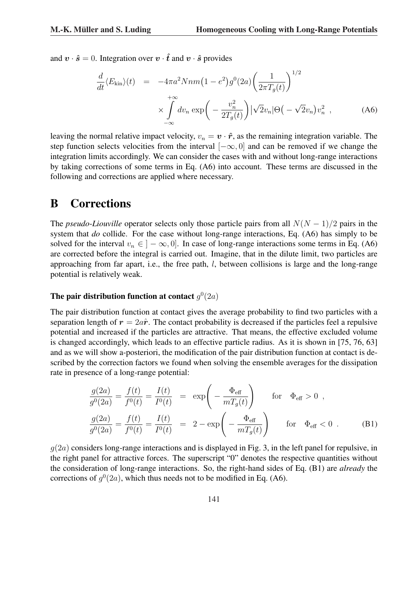and  $\mathbf{v} \cdot \hat{\mathbf{s}} = 0$ . Integration over  $\mathbf{v} \cdot \hat{\mathbf{t}}$  and  $\mathbf{v} \cdot \hat{\mathbf{s}}$  provides

$$
\frac{d}{dt}\langle E_{\rm kin}\rangle(t) = -4\pi a^2 Nnm \left(1 - e^2\right) g^0(2a) \left(\frac{1}{2\pi T_g(t)}\right)^{1/2} \times \int_{-\infty}^{+\infty} dv_n \exp\left(-\frac{v_n^2}{2T_g(t)}\right) |\sqrt{2}v_n|\Theta(-\sqrt{2}v_n)v_n^2 \rangle, \tag{A6}
$$

leaving the normal relative impact velocity,  $v_n = \mathbf{v} \cdot \hat{\mathbf{r}}$ , as the remaining integration variable. The step function selects velocities from the interval  $[-\infty, 0]$  and can be removed if we change the integration limits accordingly. We can consider the cases with and without long-range interactions by taking corrections of some terms in Eq. (A6) into account. These terms are discussed in the following and corrections are applied where necessary.

# B Corrections

The *pseudo-Liouville* operator selects only those particle pairs from all  $N(N - 1)/2$  pairs in the system that *do* collide. For the case without long-range interactions, Eq. (A6) has simply to be solved for the interval  $v_n \in ]-\infty,0]$ . In case of long-range interactions some terms in Eq. (A6) are corrected before the integral is carried out. Imagine, that in the dilute limit, two particles are approaching from far apart, i.e., the free path,  $l$ , between collisions is large and the long-range potential is relatively weak.

### The pair distribution function at contact  $g^0(2a)$

The pair distribution function at contact gives the average probability to find two particles with a separation length of  $r = 2a\hat{r}$ . The contact probability is decreased if the particles feel a repulsive potential and increased if the particles are attractive. That means, the effective excluded volume is changed accordingly, which leads to an effective particle radius. As it is shown in [75, 76, 63] and as we will show a-posteriori, the modification of the pair distribution function at contact is described by the correction factors we found when solving the ensemble averages for the dissipation rate in presence of a long-range potential:

$$
\frac{g(2a)}{g^0(2a)} = \frac{f(t)}{f^0(t)} = \frac{I(t)}{I^0(t)} = \exp\left(-\frac{\Phi_{\text{eff}}}{mT_g(t)}\right) \quad \text{for} \quad \Phi_{\text{eff}} > 0 ,
$$
  

$$
\frac{g(2a)}{g^0(2a)} = \frac{f(t)}{f^0(t)} = \frac{I(t)}{I^0(t)} = 2 - \exp\left(-\frac{\Phi_{\text{eff}}}{mT_g(t)}\right) \quad \text{for} \quad \Phi_{\text{eff}} < 0 .
$$
 (B1)

 $g(2a)$  considers long-range interactions and is displayed in Fig. 3, in the left panel for repulsive, in the right panel for attractive forces. The superscript "0" denotes the respective quantities without the consideration of long-range interactions. So, the right-hand sides of Eq. (B1) are *already* the corrections of  $g^0(2a)$ , which thus needs not to be modified in Eq. (A6).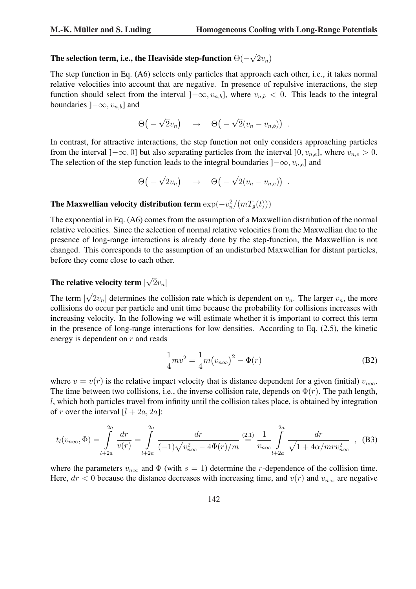#### The selection term, i.e., the Heaviside step-function  $\Theta(-)$ √  $2v_n)$

The step function in Eq. (A6) selects only particles that approach each other, i.e., it takes normal relative velocities into account that are negative. In presence of repulsive interactions, the step function should select from the interval ] $-\infty$ ,  $v_{n,b}$ ], where  $v_{n,b} < 0$ . This leads to the integral boundaries  $]-\infty, v_{n,b}]$  and

$$
\Theta\big(-\sqrt{2}v_n\big) \quad \rightarrow \quad \Theta\big(-\sqrt{2}(v_n-v_{n,b})\big) \ .
$$

In contrast, for attractive interactions, the step function not only considers approaching particles from the interval  $[-\infty, 0]$  but also separating particles from the interval  $[0, v_{n,e}]$ , where  $v_{n,e} > 0$ . The selection of the step function leads to the integral boundaries  $]-\infty, v_{n,e}]$  and

$$
\Theta\big(-\sqrt{2}v_n\big) \quad \to \quad \Theta\big(-\sqrt{2}(v_n-v_{n,e})\big) \ .
$$

### The Maxwellian velocity distribution term  $\exp(-v_n^2/(m T_g(t)))$

The exponential in Eq. (A6) comes from the assumption of a Maxwellian distribution of the normal relative velocities. Since the selection of normal relative velocities from the Maxwellian due to the presence of long-range interactions is already done by the step-function, the Maxwellian is not changed. This corresponds to the assumption of an undisturbed Maxwellian for distant particles, before they come close to each other.

#### The relative velocity term | √  $|2v_n|$

The term | √  $2v_n$  determines the collision rate which is dependent on  $v_n$ . The larger  $v_n$ , the more collisions do occur per particle and unit time because the probability for collisions increases with increasing velocity. In the following we will estimate whether it is important to correct this term in the presence of long-range interactions for low densities. According to Eq. (2.5), the kinetic energy is dependent on  $r$  and reads

$$
\frac{1}{4}mv^2 = \frac{1}{4}m(v_{n\infty})^2 - \Phi(r)
$$
 (B2)

where  $v = v(r)$  is the relative impact velocity that is distance dependent for a given (initial)  $v_{n\infty}$ . The time between two collisions, i.e., the inverse collision rate, depends on  $\Phi(r)$ . The path length, l, which both particles travel from infinity until the collision takes place, is obtained by integration of r over the interval  $[l + 2a, 2a]$ :

$$
t_l(v_{n\infty}, \Phi) = \int_{l+2a}^{2a} \frac{dr}{v(r)} = \int_{l+2a}^{2a} \frac{dr}{(-1)\sqrt{v_{n\infty}^2 - 4\Phi(r)/m}} \stackrel{(2.1)}{=} \frac{1}{v_{n\infty}} \int_{l+2a}^{2a} \frac{dr}{\sqrt{1 + 4\alpha/mrv_{n\infty}^2}} , \quad (B3)
$$

where the parameters  $v_{n\infty}$  and  $\Phi$  (with  $s = 1$ ) determine the r-dependence of the collision time. Here,  $dr < 0$  because the distance decreases with increasing time, and  $v(r)$  and  $v_{n\infty}$  are negative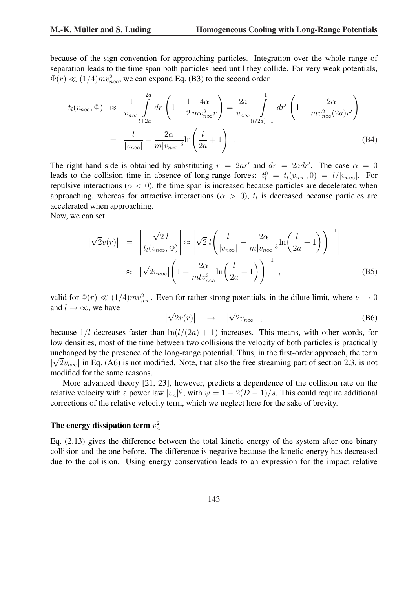because of the sign-convention for approaching particles. Integration over the whole range of separation leads to the time span both particles need until they collide. For very weak potentials,  $\Phi(r) \ll (1/4) m v_{n\infty}^2$ , we can expand Eq. (B3) to the second order

$$
t_l(v_{n\infty}, \Phi) \approx \frac{1}{v_{n\infty}} \int_{l+2a}^{2a} dr \left( 1 - \frac{1}{2} \frac{4\alpha}{m v_{n\infty}^2 r} \right) = \frac{2a}{v_{n\infty}} \int_{(l/2a)+1}^{1} dr' \left( 1 - \frac{2\alpha}{m v_{n\infty}^2 (2a)r'} \right)
$$

$$
= \frac{l}{|v_{n\infty}|} - \frac{2\alpha}{m |v_{n\infty}|^3} \ln \left( \frac{l}{2a} + 1 \right) . \tag{B4}
$$

The right-hand side is obtained by substituting  $r = 2ar'$  and  $dr = 2adr'$ . The case  $\alpha = 0$ leads to the collision time in absence of long-range forces:  $t_l^0 = t_l(v_{n\infty}, 0) = l/|v_{n\infty}|$ . For repulsive interactions ( $\alpha$  < 0), the time span is increased because particles are decelerated when approaching, whereas for attractive interactions ( $\alpha > 0$ ),  $t<sub>l</sub>$  is decreased because particles are accelerated when approaching.

Now, we can set

$$
\begin{split}\n\left|\sqrt{2}v(r)\right| &= \left|\frac{\sqrt{2}l}{t_l(v_{n\infty},\Phi)}\right| \approx \left|\sqrt{2}l\left(\frac{l}{|v_{n\infty}|} - \frac{2\alpha}{m|v_{n\infty}|^3}\ln\left(\frac{l}{2a} + 1\right)\right)^{-1}\right| \\
&\approx \left|\sqrt{2}v_{n\infty}\right|\left(1 + \frac{2\alpha}{mlv_{n\infty}^2}\ln\left(\frac{l}{2a} + 1\right)\right)^{-1},\n\end{split} \tag{B5}
$$

valid for  $\Phi(r) \ll (1/4)mv_{n\infty}^2$ . Even for rather strong potentials, in the dilute limit, where  $\nu \to 0$ and  $l \to \infty$ , we have  $\overline{a}$ √  $\overline{a}$  $\overline{a}$ √  $\overline{a}$ 

$$
\left|\sqrt{2}v(r)\right| \rightarrow \left|\sqrt{2}v_{n\infty}\right|,\tag{B6}
$$

because  $1/l$  decreases faster than  $\ln(l/(2a) + 1)$  increases. This means, with other words, for low densities, most of the time between two collisions the velocity of both particles is practically unchanged by the presence of the long-range potential. Thus, in the first-order approach, the term  $|\sqrt{2}v_{n\infty}|$  in Eq. (A6) is not modified. Note, that also the free streaming part of section 2.3. is not modified for the same reasons.

More advanced theory [21, 23], however, predicts a dependence of the collision rate on the relative velocity with a power law  $|v_n|^{\psi}$ , with  $\psi = 1 - 2(\mathcal{D} - 1)/s$ . This could require additional corrections of the relative velocity term, which we neglect here for the sake of brevity.

### The energy dissipation term  $v_n^2$

Eq. (2.13) gives the difference between the total kinetic energy of the system after one binary collision and the one before. The difference is negative because the kinetic energy has decreased due to the collision. Using energy conservation leads to an expression for the impact relative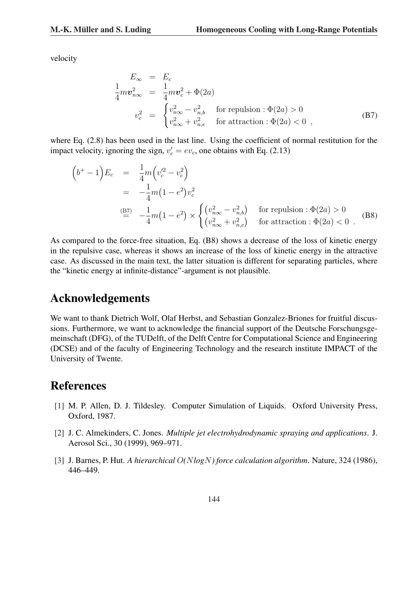velocity

$$
E_{\infty} = E_c
$$
  
\n
$$
\frac{1}{4} m v_{n\infty}^2 = \frac{1}{4} m v_c^2 + \Phi(2a)
$$
  
\n
$$
v_c^2 = \begin{cases} v_{n\infty}^2 - v_{n,b}^2 & \text{for repulsion : } \Phi(2a) > 0 \\ v_{n\infty}^2 + v_{n,e}^2 & \text{for attraction : } \Phi(2a) < 0 \end{cases}
$$
 (B7)

where Eq. (2.8) has been used in the last line. Using the coefficient of normal restitution for the impact velocity, ignoring the sign,  $v_c' = ev_c$ , one obtains with Eq. (2.13)

$$
\begin{aligned}\n\left(b^{+}-1\right)E_{c} &= \frac{1}{4}m\left(v_{c}^{'2}-v_{c}^{2}\right) \\
&= -\frac{1}{4}m\left(1-e^{2}\right)v_{c}^{2} \\
\stackrel{\text{(B7)}}{=} -\frac{1}{4}m\left(1-e^{2}\right) \times \begin{cases}\n\left(v_{n\infty}^{2}-v_{n,b}^{2}\right) & \text{for repulsion}: \Phi(2a) > 0 \\
\left(v_{n\infty}^{2}+v_{n,e}^{2}\right) & \text{for attraction}: \Phi(2a) < 0\n\end{cases}.\n\end{aligned}
$$
\n(B8)

As compared to the force-free situation, Eq. (B8) shows a decrease of the loss of kinetic energy in the repulsive case, whereas it shows an increase of the loss of kinetic energy in the attractive case. As discussed in the main text, the latter situation is different for separating particles, where the "kinetic energy at infinite-distance"-argument is not plausible.

# Acknowledgements

We want to thank Dietrich Wolf, Olaf Herbst, and Sebastian Gonzalez-Briones for fruitful discussions. Furthermore, we want to acknowledge the financial support of the Deutsche Forschungsgemeinschaft (DFG), of the TUDelft, of the Delft Centre for Computational Science and Engineering (DCSE) and of the faculty of Engineering Technology and the research institute IMPACT of the University of Twente.

### References

- [1] M. P. Allen, D. J. Tildesley. Computer Simulation of Liquids. Oxford University Press, Oxford, 1987.
- [2] J. C. Almekinders, C. Jones. *Multiple jet electrohydrodynamic spraying and applications*. J. Aerosol Sci., 30 (1999), 969–971.
- [3] J. Barnes, P. Hut. *A hierarchical* O*(*N*log*N*) force calculation algorithm*. Nature, 324 (1986), 446–449.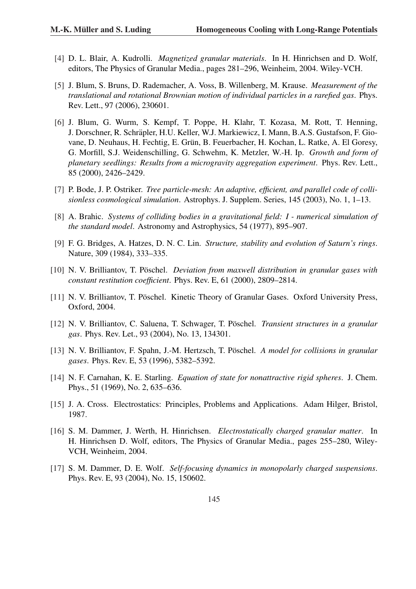- [4] D. L. Blair, A. Kudrolli. *Magnetized granular materials*. In H. Hinrichsen and D. Wolf, editors, The Physics of Granular Media., pages 281–296, Weinheim, 2004. Wiley-VCH.
- [5] J. Blum, S. Bruns, D. Rademacher, A. Voss, B. Willenberg, M. Krause. *Measurement of the translational and rotational Brownian motion of individual particles in a rarefied gas*. Phys. Rev. Lett., 97 (2006), 230601.
- [6] J. Blum, G. Wurm, S. Kempf, T. Poppe, H. Klahr, T. Kozasa, M. Rott, T. Henning, J. Dorschner, R. Schräpler, H.U. Keller, W.J. Markiewicz, I. Mann, B.A.S. Gustafson, F. Giovane, D. Neuhaus, H. Fechtig, E. Grün, B. Feuerbacher, H. Kochan, L. Ratke, A. El Goresy, G. Morfill, S.J. Weidenschilling, G. Schwehm, K. Metzler, W.-H. Ip. *Growth and form of planetary seedlings: Results from a microgravity aggregation experiment*. Phys. Rev. Lett., 85 (2000), 2426–2429.
- [7] P. Bode, J. P. Ostriker. *Tree particle-mesh: An adaptive, efficient, and parallel code of collisionless cosmological simulation*. Astrophys. J. Supplem. Series, 145 (2003), No. 1, 1–13.
- [8] A. Brahic. *Systems of colliding bodies in a gravitational field: I numerical simulation of the standard model*. Astronomy and Astrophysics, 54 (1977), 895–907.
- [9] F. G. Bridges, A. Hatzes, D. N. C. Lin. *Structure, stability and evolution of Saturn's rings*. Nature, 309 (1984), 333–335.
- [10] N. V. Brilliantov, T. Pöschel. *Deviation from maxwell distribution in granular gases with constant restitution coefficient*. Phys. Rev. E, 61 (2000), 2809–2814.
- [11] N. V. Brilliantov, T. Pöschel. Kinetic Theory of Granular Gases. Oxford University Press, Oxford, 2004.
- [12] N. V. Brilliantov, C. Saluena, T. Schwager, T. Poschel. ¨ *Transient structures in a granular gas*. Phys. Rev. Let., 93 (2004), No. 13, 134301.
- [13] N. V. Brilliantov, F. Spahn, J.-M. Hertzsch, T. Pöschel. A model for collisions in granular *gases*. Phys. Rev. E, 53 (1996), 5382–5392.
- [14] N. F. Carnahan, K. E. Starling. *Equation of state for nonattractive rigid spheres*. J. Chem. Phys., 51 (1969), No. 2, 635–636.
- [15] J. A. Cross. Electrostatics: Principles, Problems and Applications. Adam Hilger, Bristol, 1987.
- [16] S. M. Dammer, J. Werth, H. Hinrichsen. *Electrostatically charged granular matter*. In H. Hinrichsen D. Wolf, editors, The Physics of Granular Media., pages 255–280, Wiley-VCH, Weinheim, 2004.
- [17] S. M. Dammer, D. E. Wolf. *Self-focusing dynamics in monopolarly charged suspensions*. Phys. Rev. E, 93 (2004), No. 15, 150602.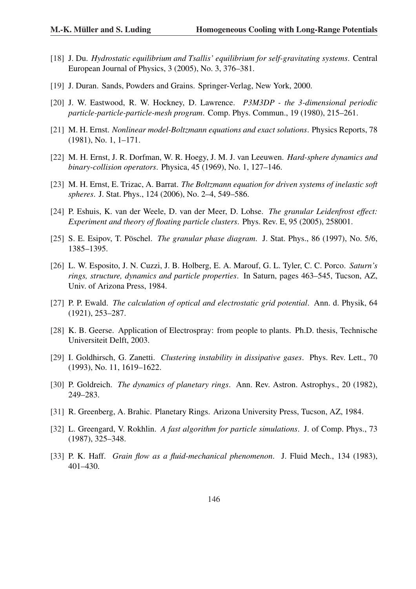- [18] J. Du. *Hydrostatic equilibrium and Tsallis' equilibrium for self-gravitating systems*. Central European Journal of Physics, 3 (2005), No. 3, 376–381.
- [19] J. Duran. Sands, Powders and Grains. Springer-Verlag, New York, 2000.
- [20] J. W. Eastwood, R. W. Hockney, D. Lawrence. *P3M3DP the 3-dimensional periodic particle-particle-particle-mesh program*. Comp. Phys. Commun., 19 (1980), 215–261.
- [21] M. H. Ernst. *Nonlinear model-Boltzmann equations and exact solutions*. Physics Reports, 78 (1981), No. 1, 1–171.
- [22] M. H. Ernst, J. R. Dorfman, W. R. Hoegy, J. M. J. van Leeuwen. *Hard-sphere dynamics and binary-collision operators*. Physica, 45 (1969), No. 1, 127–146.
- [23] M. H. Ernst, E. Trizac, A. Barrat. *The Boltzmann equation for driven systems of inelastic soft spheres*. J. Stat. Phys., 124 (2006), No. 2–4, 549–586.
- [24] P. Eshuis, K. van der Weele, D. van der Meer, D. Lohse. *The granular Leidenfrost effect: Experiment and theory of floating particle clusters*. Phys. Rev. E, 95 (2005), 258001.
- [25] S. E. Esipov, T. Pöschel. *The granular phase diagram.* J. Stat. Phys., 86 (1997), No. 5/6, 1385–1395.
- [26] L. W. Esposito, J. N. Cuzzi, J. B. Holberg, E. A. Marouf, G. L. Tyler, C. C. Porco. *Saturn's rings, structure, dynamics and particle properties*. In Saturn, pages 463–545, Tucson, AZ, Univ. of Arizona Press, 1984.
- [27] P. P. Ewald. *The calculation of optical and electrostatic grid potential*. Ann. d. Physik, 64 (1921), 253–287.
- [28] K. B. Geerse. Application of Electrospray: from people to plants. Ph.D. thesis, Technische Universiteit Delft, 2003.
- [29] I. Goldhirsch, G. Zanetti. *Clustering instability in dissipative gases*. Phys. Rev. Lett., 70 (1993), No. 11, 1619–1622.
- [30] P. Goldreich. *The dynamics of planetary rings*. Ann. Rev. Astron. Astrophys., 20 (1982), 249–283.
- [31] R. Greenberg, A. Brahic. Planetary Rings. Arizona University Press, Tucson, AZ, 1984.
- [32] L. Greengard, V. Rokhlin. *A fast algorithm for particle simulations*. J. of Comp. Phys., 73 (1987), 325–348.
- [33] P. K. Haff. *Grain flow as a fluid-mechanical phenomenon*. J. Fluid Mech., 134 (1983), 401–430.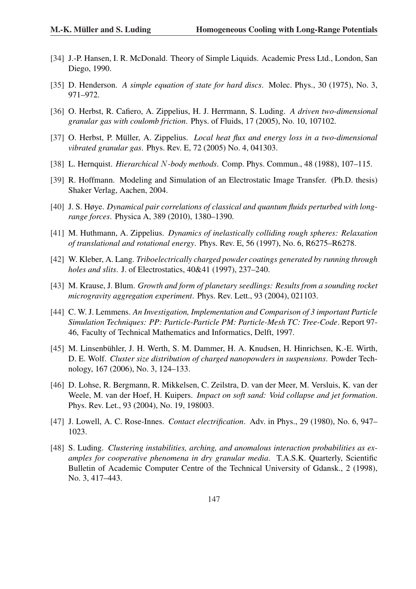- [34] J.-P. Hansen, I. R. McDonald. Theory of Simple Liquids. Academic Press Ltd., London, San Diego, 1990.
- [35] D. Henderson. *A simple equation of state for hard discs*. Molec. Phys., 30 (1975), No. 3, 971–972.
- [36] O. Herbst, R. Cafiero, A. Zippelius, H. J. Herrmann, S. Luding. *A driven two-dimensional granular gas with coulomb friction*. Phys. of Fluids, 17 (2005), No. 10, 107102.
- [37] O. Herbst, P. Müller, A. Zippelius. *Local heat flux and energy loss in a two-dimensional vibrated granular gas*. Phys. Rev. E, 72 (2005) No. 4, 041303.
- [38] L. Hernquist. *Hierarchical* N*-body methods*. Comp. Phys. Commun., 48 (1988), 107–115.
- [39] R. Hoffmann. Modeling and Simulation of an Electrostatic Image Transfer. (Ph.D. thesis) Shaker Verlag, Aachen, 2004.
- [40] J. S. Høye. *Dynamical pair correlations of classical and quantum fluids perturbed with longrange forces*. Physica A, 389 (2010), 1380–1390.
- [41] M. Huthmann, A. Zippelius. *Dynamics of inelastically colliding rough spheres: Relaxation of translational and rotational energy*. Phys. Rev. E, 56 (1997), No. 6, R6275–R6278.
- [42] W. Kleber, A. Lang. *Triboelectrically charged powder coatings generated by running through holes and slits*. J. of Electrostatics, 40&41 (1997), 237–240.
- [43] M. Krause, J. Blum. *Growth and form of planetary seedlings: Results from a sounding rocket microgravity aggregation experiment*. Phys. Rev. Lett., 93 (2004), 021103.
- [44] C. W. J. Lemmens. *An Investigation, Implementation and Comparison of 3 important Particle Simulation Techniques: PP: Particle-Particle PM: Particle-Mesh TC: Tree-Code*. Report 97- 46, Faculty of Technical Mathematics and Informatics, Delft, 1997.
- [45] M. Linsenbühler, J. H. Werth, S. M. Dammer, H. A. Knudsen, H. Hinrichsen, K.-E. Wirth, D. E. Wolf. *Cluster size distribution of charged nanopowders in suspensions*. Powder Technology, 167 (2006), No. 3, 124–133.
- [46] D. Lohse, R. Bergmann, R. Mikkelsen, C. Zeilstra, D. van der Meer, M. Versluis, K. van der Weele, M. van der Hoef, H. Kuipers. *Impact on soft sand: Void collapse and jet formation*. Phys. Rev. Let., 93 (2004), No. 19, 198003.
- [47] J. Lowell, A. C. Rose-Innes. *Contact electrification*. Adv. in Phys., 29 (1980), No. 6, 947– 1023.
- [48] S. Luding. *Clustering instabilities, arching, and anomalous interaction probabilities as examples for cooperative phenomena in dry granular media*. T.A.S.K. Quarterly, Scientific Bulletin of Academic Computer Centre of the Technical University of Gdansk., 2 (1998), No. 3, 417–443.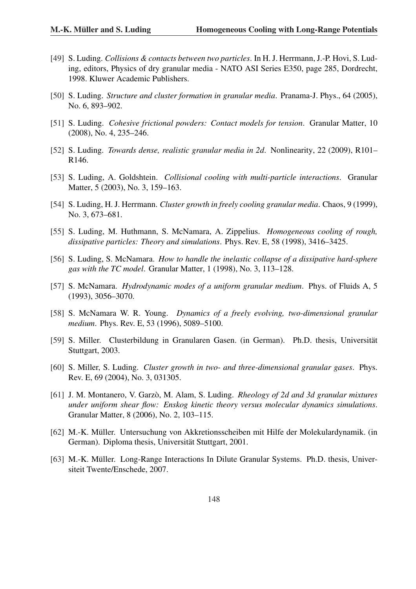- [49] S. Luding. *Collisions & contacts between two particles*. In H. J. Herrmann, J.-P. Hovi, S. Luding, editors, Physics of dry granular media - NATO ASI Series E350, page 285, Dordrecht, 1998. Kluwer Academic Publishers.
- [50] S. Luding. *Structure and cluster formation in granular media*. Pranama-J. Phys., 64 (2005), No. 6, 893–902.
- [51] S. Luding. *Cohesive frictional powders: Contact models for tension*. Granular Matter, 10 (2008), No. 4, 235–246.
- [52] S. Luding. *Towards dense, realistic granular media in 2d*. Nonlinearity, 22 (2009), R101– R146.
- [53] S. Luding, A. Goldshtein. *Collisional cooling with multi-particle interactions*. Granular Matter, 5 (2003), No. 3, 159–163.
- [54] S. Luding, H. J. Herrmann. *Cluster growth in freely cooling granular media*. Chaos, 9 (1999), No. 3, 673–681.
- [55] S. Luding, M. Huthmann, S. McNamara, A. Zippelius. *Homogeneous cooling of rough, dissipative particles: Theory and simulations*. Phys. Rev. E, 58 (1998), 3416–3425.
- [56] S. Luding, S. McNamara. *How to handle the inelastic collapse of a dissipative hard-sphere gas with the TC model*. Granular Matter, 1 (1998), No. 3, 113–128.
- [57] S. McNamara. *Hydrodynamic modes of a uniform granular medium*. Phys. of Fluids A, 5 (1993), 3056–3070.
- [58] S. McNamara W. R. Young. *Dynamics of a freely evolving, two-dimensional granular medium*. Phys. Rev. E, 53 (1996), 5089–5100.
- [59] S. Miller. Clusterbildung in Granularen Gasen. (in German). Ph.D. thesis, Universität Stuttgart, 2003.
- [60] S. Miller, S. Luding. *Cluster growth in two- and three-dimensional granular gases*. Phys. Rev. E, 69 (2004), No. 3, 031305.
- [61] J. M. Montanero, V. Garzò, M. Alam, S. Luding. *Rheology of 2d and 3d granular mixtures under uniform shear flow: Enskog kinetic theory versus molecular dynamics simulations*. Granular Matter, 8 (2006), No. 2, 103–115.
- [62] M.-K. Müller. Untersuchung von Akkretionsscheiben mit Hilfe der Molekulardynamik. (in German). Diploma thesis, Universität Stuttgart, 2001.
- [63] M.-K. Müller. Long-Range Interactions In Dilute Granular Systems. Ph.D. thesis, Universiteit Twente/Enschede, 2007.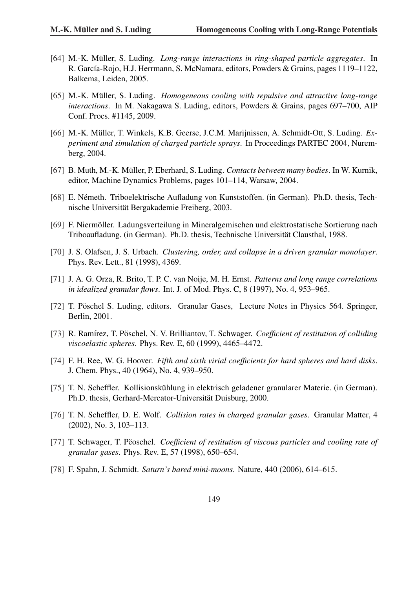- [64] M.-K. Müller, S. Luding. *Long-range interactions in ring-shaped particle aggregates*. In R. García-Rojo, H.J. Herrmann, S. McNamara, editors, Powders & Grains, pages 1119–1122, Balkema, Leiden, 2005.
- [65] M.-K. Müller, S. Luding. *Homogeneous cooling with repulsive and attractive long-range interactions*. In M. Nakagawa S. Luding, editors, Powders & Grains, pages 697–700, AIP Conf. Procs. #1145, 2009.
- [66] M.-K. Müller, T. Winkels, K.B. Geerse, J.C.M. Marijnissen, A. Schmidt-Ott, S. Luding. *Experiment and simulation of charged particle sprays*. In Proceedings PARTEC 2004, Nuremberg, 2004.
- [67] B. Muth, M.-K. Müller, P. Eberhard, S. Luding. *Contacts between many bodies*. In W. Kurnik, editor, Machine Dynamics Problems, pages 101–114, Warsaw, 2004.
- [68] E. Németh. Triboelektrische Aufladung von Kunststoffen. (in German). Ph.D. thesis, Technische Universitat Bergakademie Freiberg, 2003. ¨
- [69] F. Niermoller. Ladungsverteilung in Mineralgemischen und elektrostatische Sortierung nach ¨ Triboaufladung. (in German). Ph.D. thesis, Technische Universität Clausthal, 1988.
- [70] J. S. Olafsen, J. S. Urbach. *Clustering, order, and collapse in a driven granular monolayer*. Phys. Rev. Lett., 81 (1998), 4369.
- [71] J. A. G. Orza, R. Brito, T. P. C. van Noije, M. H. Ernst. *Patterns and long range correlations in idealized granular flows*. Int. J. of Mod. Phys. C, 8 (1997), No. 4, 953–965.
- [72] T. Pöschel S. Luding, editors. Granular Gases, Lecture Notes in Physics 564. Springer, Berlin, 2001.
- [73] R. Ramírez, T. Pöschel, N. V. Brilliantov, T. Schwager. *Coefficient of restitution of colliding viscoelastic spheres*. Phys. Rev. E, 60 (1999), 4465–4472.
- [74] F. H. Ree, W. G. Hoover. *Fifth and sixth virial coefficients for hard spheres and hard disks*. J. Chem. Phys., 40 (1964), No. 4, 939–950.
- [75] T. N. Scheffler. Kollisionskühlung in elektrisch geladener granularer Materie. (in German). Ph.D. thesis, Gerhard-Mercator-Universität Duisburg, 2000.
- [76] T. N. Scheffler, D. E. Wolf. *Collision rates in charged granular gases*. Granular Matter, 4 (2002), No. 3, 103–113.
- [77] T. Schwager, T. Pëoschel. *Coefficient of restitution of viscous particles and cooling rate of granular gases*. Phys. Rev. E, 57 (1998), 650–654.
- [78] F. Spahn, J. Schmidt. *Saturn's bared mini-moons*. Nature, 440 (2006), 614–615.